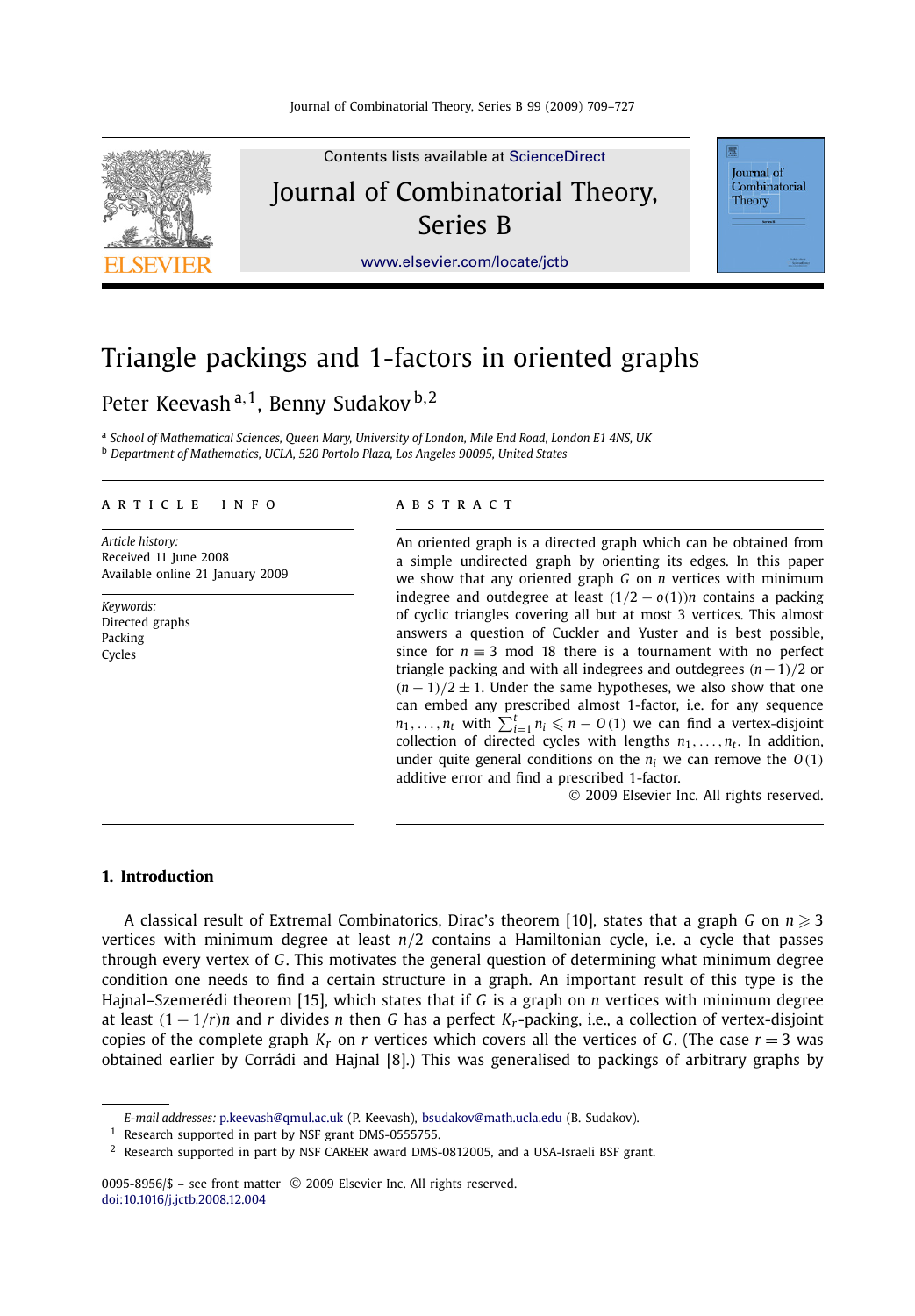

# Triangle packings and 1-factors in oriented graphs

## Peter Keevash <sup>a</sup>*,*1, Benny Sudakov <sup>b</sup>*,*<sup>2</sup>

<sup>a</sup> *School of Mathematical Sciences, Queen Mary, University of London, Mile End Road, London E1 4NS, UK* <sup>b</sup> *Department of Mathematics, UCLA, 520 Portolo Plaza, Los Angeles 90095, United States*

#### article info abstract

*Article history:* Received 11 June 2008 Available online 21 January 2009

*Keywords:* Directed graphs Packing Cycles

An oriented graph is a directed graph which can be obtained from a simple undirected graph by orienting its edges. In this paper we show that any oriented graph *G* on *n* vertices with minimum indegree and outdegree at least  $(1/2 - o(1))n$  contains a packing of cyclic triangles covering all but at most 3 vertices. This almost answers a question of Cuckler and Yuster and is best possible, since for  $n \equiv 3 \mod 18$  there is a tournament with no perfect triangle packing and with all indegrees and outdegrees *(n*−1*)/*2 or  $(n-1)/2 \pm 1$ . Under the same hypotheses, we also show that one can embed any prescribed almost 1-factor, i.e. for any sequence  $n_1, \ldots, n_t$  with  $\sum_{i=1}^t n_i \leqslant n - O(1)$  we can find a vertex-disjoint collection of directed cycles with lengths  $n_1, \ldots, n_t$ . In addition, under quite general conditions on the  $n_i$  we can remove the  $O(1)$ additive error and find a prescribed 1-factor.

© 2009 Elsevier Inc. All rights reserved.

#### **1. Introduction**

A classical result of Extremal Combinatorics, Dirac's theorem [10], states that a graph *G* on  $n \geqslant 3$ vertices with minimum degree at least *n/*2 contains a Hamiltonian cycle, i.e. a cycle that passes through every vertex of *G*. This motivates the general question of determining what minimum degree condition one needs to find a certain structure in a graph. An important result of this type is the Hajnal–Szemerédi theorem [15], which states that if *G* is a graph on *n* vertices with minimum degree at least  $(1 - 1/r)n$  and *r* divides *n* then *G* has a perfect  $K_r$ -packing, i.e., a collection of vertex-disjoint copies of the complete graph  $K_r$  on  $r$  vertices which covers all the vertices of  $G$ . (The case  $r = 3$  was obtained earlier by Corrádi and Hajnal [8].) This was generalised to packings of arbitrary graphs by

0095-8956/\$ – see front matter © 2009 Elsevier Inc. All rights reserved. [doi:10.1016/j.jctb.2008.12.004](http://dx.doi.org/10.1016/j.jctb.2008.12.004)

*E-mail addresses:* [p.keevash@qmul.ac.uk](mailto:p.keevash@qmul.ac.uk) (P. Keevash), [bsudakov@math.ucla.edu](mailto:bsudakov@math.ucla.edu) (B. Sudakov).

<sup>&</sup>lt;sup>1</sup> Research supported in part by NSF grant DMS-0555755.

 $2$  Research supported in part by NSF CAREER award DMS-0812005, and a USA-Israeli BSF grant.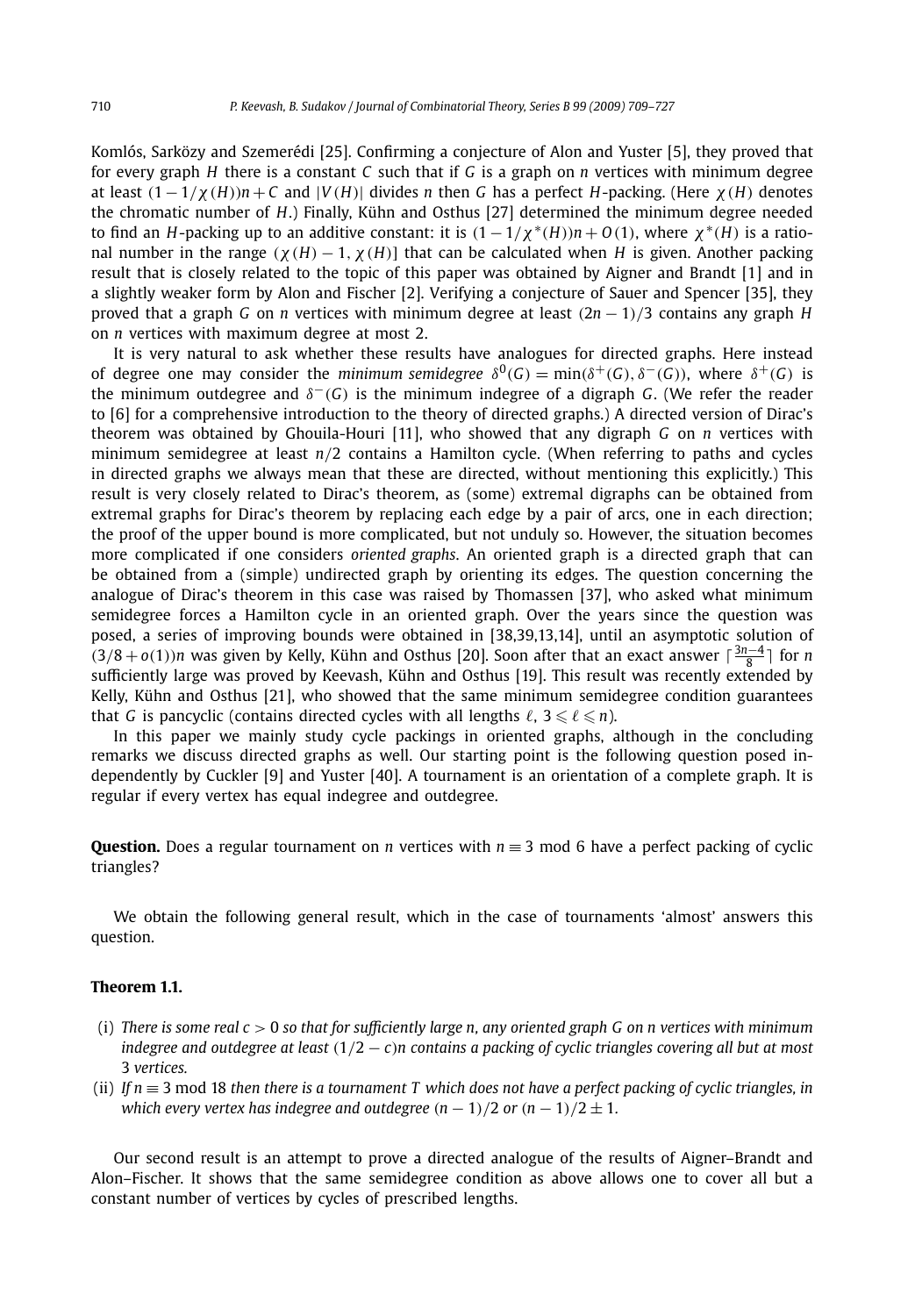Komlós, Sarközy and Szemerédi [25]. Confirming a conjecture of Alon and Yuster [5], they proved that for every graph *H* there is a constant *C* such that if *G* is a graph on *n* vertices with minimum degree at least  $(1 - 1/\chi(H))n + C$  and  $|V(H)|$  divides *n* then *G* has a perfect *H*-packing. (Here  $\chi(H)$  denotes the chromatic number of *H*.) Finally, Kühn and Osthus [27] determined the minimum degree needed to find an *H*-packing up to an additive constant: it is  $(1 - 1/\chi * (H))n + O(1)$ , where  $\chi^*(H)$  is a rational number in the range  $(\chi(H) - 1, \chi(H))$  that can be calculated when *H* is given. Another packing result that is closely related to the topic of this paper was obtained by Aigner and Brandt [1] and in a slightly weaker form by Alon and Fischer [2]. Verifying a conjecture of Sauer and Spencer [35], they proved that a graph *G* on *n* vertices with minimum degree at least *(*2*n* − 1*)/*3 contains any graph *H* on *n* vertices with maximum degree at most 2.

It is very natural to ask whether these results have analogues for directed graphs. Here instead of degree one may consider the *minimum semidegree*  $\delta^{0}(G) = \min(\delta^{+}(G), \delta^{-}(G))$ , where  $\delta^{+}(G)$  is the minimum outdegree and *δ*−*(G)* is the minimum indegree of a digraph *G*. (We refer the reader to [6] for a comprehensive introduction to the theory of directed graphs.) A directed version of Dirac's theorem was obtained by Ghouila-Houri [11], who showed that any digraph *G* on *n* vertices with minimum semidegree at least *n/*2 contains a Hamilton cycle. (When referring to paths and cycles in directed graphs we always mean that these are directed, without mentioning this explicitly.) This result is very closely related to Dirac's theorem, as (some) extremal digraphs can be obtained from extremal graphs for Dirac's theorem by replacing each edge by a pair of arcs, one in each direction; the proof of the upper bound is more complicated, but not unduly so. However, the situation becomes more complicated if one considers *oriented graphs*. An oriented graph is a directed graph that can be obtained from a (simple) undirected graph by orienting its edges. The question concerning the analogue of Dirac's theorem in this case was raised by Thomassen [37], who asked what minimum semidegree forces a Hamilton cycle in an oriented graph. Over the years since the question was posed, a series of improving bounds were obtained in [38,39,13,14], until an asymptotic solution of  $(3/8 + o(1))n$  was given by Kelly, Kühn and Osthus [20]. Soon after that an exact answer  $\lceil \frac{3n-4}{8} \rceil$  for *n* sufficiently large was proved by Keevash, Kühn and Osthus [19]. This result was recently extended by Kelly, Kühn and Osthus [21], who showed that the same minimum semidegree condition guarantees that *G* is pancyclic (contains directed cycles with all lengths  $\ell$ ,  $3 \leq \ell \leq n$ ).

In this paper we mainly study cycle packings in oriented graphs, although in the concluding remarks we discuss directed graphs as well. Our starting point is the following question posed independently by Cuckler [9] and Yuster [40]. A tournament is an orientation of a complete graph. It is regular if every vertex has equal indegree and outdegree.

**Question.** Does a regular tournament on *n* vertices with *n* ≡ 3 mod 6 have a perfect packing of cyclic triangles?

We obtain the following general result, which in the case of tournaments 'almost' answers this question.

#### **Theorem 1.1.**

- (i) *There is some real c >* 0 *so that for sufficiently large n, any oriented graph G on n vertices with minimum indegree and outdegree at least (*1*/*2 − *c)n contains a packing of cyclic triangles covering all but at most* 3 *vertices.*
- (ii) *If n* ≡ 3 mod 18 *then there is a tournament T which does not have a perfect packing of cyclic triangles, in which every vertex has indegree and outdegree*  $(n - 1)/2$  *or*  $(n - 1)/2 \pm 1$ .

Our second result is an attempt to prove a directed analogue of the results of Aigner–Brandt and Alon–Fischer. It shows that the same semidegree condition as above allows one to cover all but a constant number of vertices by cycles of prescribed lengths.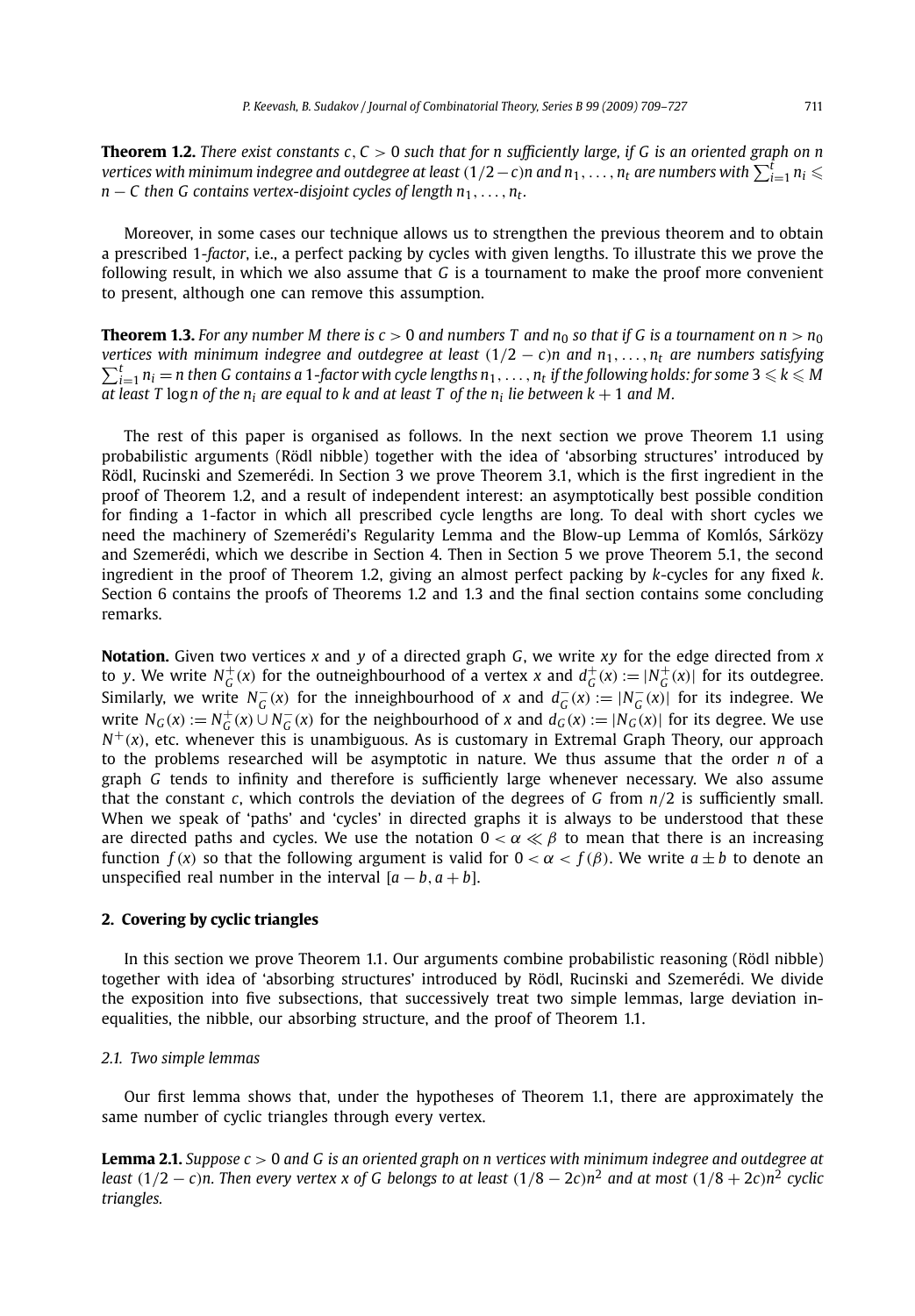**Theorem 1.2.** *There exist constants c, C >* 0 *such that for n sufficiently large, if G is an oriented graph on n vertices with minimum indegree and outdegree at least*  $(1/2-c)$ *n and*  $n_1,\ldots,n_t$  *are numbers with*  $\sum_{i=1}^tn_i\leqslant$  $n - C$  then G contains vertex-disjoint cycles of length  $n_1, \ldots, n_t$ .

Moreover, in some cases our technique allows us to strengthen the previous theorem and to obtain a prescribed 1*-factor*, i.e., a perfect packing by cycles with given lengths. To illustrate this we prove the following result, in which we also assume that *G* is a tournament to make the proof more convenient to present, although one can remove this assumption.

**Theorem 1.3.** For any number M there is  $c > 0$  and numbers T and  $n_0$  so that if G is a tournament on  $n > n_0$ *vertices with minimum indegree and outdegree at least*  $(1/2 - c)n$  and  $n_1, \ldots, n_t$  are numbers satisfying  $\sum_{i=1}^{t} n_i - n_i$  then C contains a 1 factor with cycle lengths  $n_i - n_i$  if the following holds: for some  $3 \leq k \leq M$  $\sum_{i=1}^t n_i = n$  then G contains a 1-factor with cycle lengths  $n_1,\ldots,n_t$  if the following holds: for some  $3\leqslant k\leqslant M$ *at least T* logn of the  $n_i$  are equal to k and at least T of the  $n_i$  lie between  $k + 1$  and M.

The rest of this paper is organised as follows. In the next section we prove Theorem 1.1 using probabilistic arguments (Rödl nibble) together with the idea of 'absorbing structures' introduced by Rödl, Rucinski and Szemerédi. In Section 3 we prove Theorem 3.1, which is the first ingredient in the proof of Theorem 1.2, and a result of independent interest: an asymptotically best possible condition for finding a 1-factor in which all prescribed cycle lengths are long. To deal with short cycles we need the machinery of Szemerédi's Regularity Lemma and the Blow-up Lemma of Komlós, Sárközy and Szemerédi, which we describe in Section 4. Then in Section 5 we prove Theorem 5.1, the second ingredient in the proof of Theorem 1.2, giving an almost perfect packing by *k*-cycles for any fixed *k*. Section 6 contains the proofs of Theorems 1.2 and 1.3 and the final section contains some concluding remarks.

**Notation.** Given two vertices *x* and *y* of a directed graph *G*, we write *xy* for the edge directed from *x* to y. We write  $N_G^+(x)$  for the outneighbourhood of a vertex x and  $d_G^+(x) := |N_G^+(x)|$  for its outdegree. Similarly, we write  $N_G^-(x)$  for the inneighbourhood of x and  $d_G^-(x) := |N_G^-(x)|$  for its indegree. We write  $N_G(x) := N_G^+(x) \cup N_G^-(x)$  for the neighbourhood of x and  $d_G(x) := |N_G(x)|$  for its degree. We use  $N^+(x)$ , etc. whenever this is unambiguous. As is customary in Extremal Graph Theory, our approach to the problems researched will be asymptotic in nature. We thus assume that the order *n* of a graph *G* tends to infinity and therefore is sufficiently large whenever necessary. We also assume that the constant *c*, which controls the deviation of the degrees of *G* from *n/*2 is sufficiently small. When we speak of 'paths' and 'cycles' in directed graphs it is always to be understood that these are directed paths and cycles. We use the notation  $0 < \alpha \ll \beta$  to mean that there is an increasing function  $f(x)$  so that the following argument is valid for  $0 < \alpha < f(\beta)$ . We write  $a \pm b$  to denote an unspecified real number in the interval  $[a - b, a + b]$ .

#### **2. Covering by cyclic triangles**

In this section we prove Theorem 1.1. Our arguments combine probabilistic reasoning (Rödl nibble) together with idea of 'absorbing structures' introduced by Rödl, Rucinski and Szemerédi. We divide the exposition into five subsections, that successively treat two simple lemmas, large deviation inequalities, the nibble, our absorbing structure, and the proof of Theorem 1.1.

#### *2.1. Two simple lemmas*

Our first lemma shows that, under the hypotheses of Theorem 1.1, there are approximately the same number of cyclic triangles through every vertex.

**Lemma 2.1.** *Suppose c >* 0 *and G is an oriented graph on n vertices with minimum indegree and outdegree at* least  $(1/2 - c)n$ . Then every vertex x of G belongs to at least  $(1/8 - 2c)n^2$  and at most  $(1/8 + 2c)n^2$  cyclic *triangles.*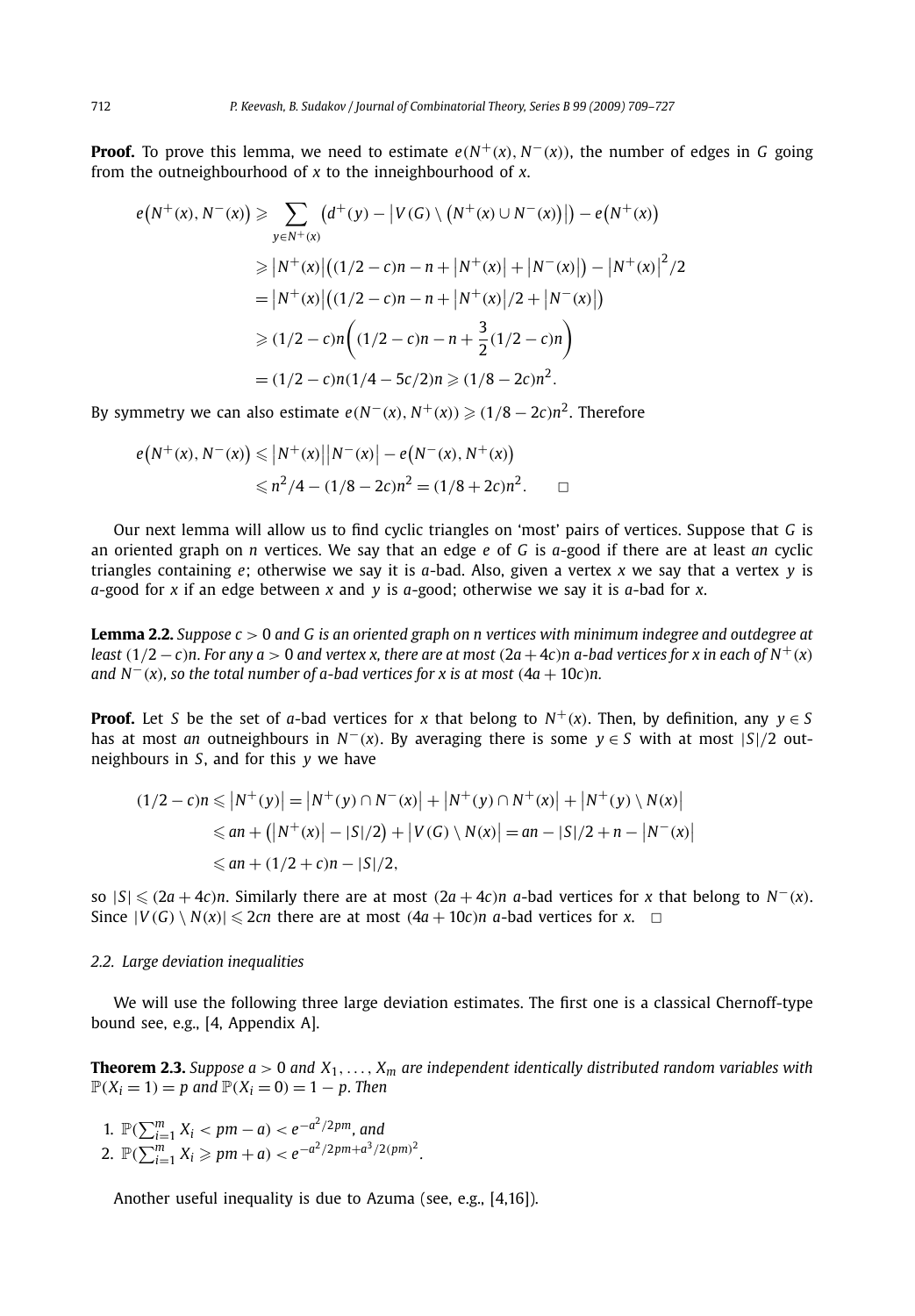**Proof.** To prove this lemma, we need to estimate  $e(N^+(x), N^-(x))$ , the number of edges in *G* going from the outneighbourhood of *x* to the inneighbourhood of *x*.

$$
e(N^+(x), N^-(x)) \ge \sum_{y \in N^+(x)} (d^+(y) - |V(G) \setminus (N^+(x) \cup N^-(x))|) - e(N^+(x))
$$
  
\n
$$
\ge |N^+(x)|((1/2 - c)n - n + |N^+(x)| + |N^-(x)|) - |N^+(x)|^2/2
$$
  
\n
$$
= |N^+(x)|((1/2 - c)n - n + |N^+(x)|/2 + |N^-(x)|)
$$
  
\n
$$
\ge (1/2 - c)n((1/2 - c)n - n + \frac{3}{2}(1/2 - c)n)
$$
  
\n
$$
= (1/2 - c)n(1/4 - 5c/2)n \ge (1/8 - 2c)n^2.
$$

By symmetry we can also estimate  $e(N^-(x), N^+(x)) \geqslant (1/8 - 2c)n^2$ . Therefore

$$
e(N^+(x), N^-(x)) \le |N^+(x)| |N^-(x)| - e(N^-(x), N^+(x))
$$
  

$$
\le n^2/4 - (1/8 - 2c)n^2 = (1/8 + 2c)n^2.
$$

Our next lemma will allow us to find cyclic triangles on 'most' pairs of vertices. Suppose that *G* is an oriented graph on *n* vertices. We say that an edge *e* of *G* is *a*-good if there are at least *an* cyclic triangles containing *e*; otherwise we say it is *a*-bad. Also, given a vertex *x* we say that a vertex *y* is *a*-good for *x* if an edge between *x* and *y* is *a*-good; otherwise we say it is *a*-bad for *x*.

**Lemma 2.2.** *Suppose c >* 0 *and G is an oriented graph on n vertices with minimum indegree and outdegree at least*  $(1/2 - c)n$ . For any  $a > 0$  and vertex x, there are at most  $(2a + 4c)n$  a-bad vertices for x in each of N<sup>+</sup>(x) *and*  $N^{-}(x)$ *, so the total number of a-bad vertices for x is at most*  $(4a + 10c)n$ *.* 

**Proof.** Let *S* be the set of *a*-bad vertices for *x* that belong to  $N^+(x)$ . Then, by definition, any  $y \in S$ has at most *an* outneighbours in  $N^{-}(x)$ . By averaging there is some  $y \in S$  with at most  $|S|/2$  outneighbours in *S*, and for this *y* we have

$$
(1/2 - c)n \le |N^+(y)| = |N^+(y) \cap N^-(x)| + |N^+(y) \cap N^+(x)| + |N^+(y) \setminus N(x)|
$$
  
\n
$$
\le an + (|N^+(x)| - |S|/2) + |V(G) \setminus N(x)| = an - |S|/2 + n - |N^-(x)|
$$
  
\n
$$
\le an + (1/2 + c)n - |S|/2,
$$

so  $|S|$  ≤  $(2a + 4c)n$ . Similarly there are at most  $(2a + 4c)n$  *a*-bad vertices for *x* that belong to  $N<sup>−</sup>(x)$ . Since  $|V(G) \setminus N(x)| \le 2cn$  there are at most  $(4a + 10c)n$  *a*-bad vertices for *x*.  $\Box$ 

#### *2.2. Large deviation inequalities*

We will use the following three large deviation estimates. The first one is a classical Chernoff-type bound see, e.g., [4, Appendix A].

**Theorem 2.3.** *Suppose a >* 0 *and X*1*,..., Xm are independent identically distributed random variables with*  $P(X_i = 1) = p$  and  $P(X_i = 0) = 1 - p$ . Then

1.  $\mathbb{P}(\sum_{i=1}^{m} X_i < pm - a) < e^{-a^2/2pm}$ , and 2.  $\mathbb{P}(\sum_{i=1}^{m} X_i \geq p m + a) < e^{-a^2/2pm + a^3/2(pm)^2}$ .

Another useful inequality is due to Azuma (see, e.g., [4,16]).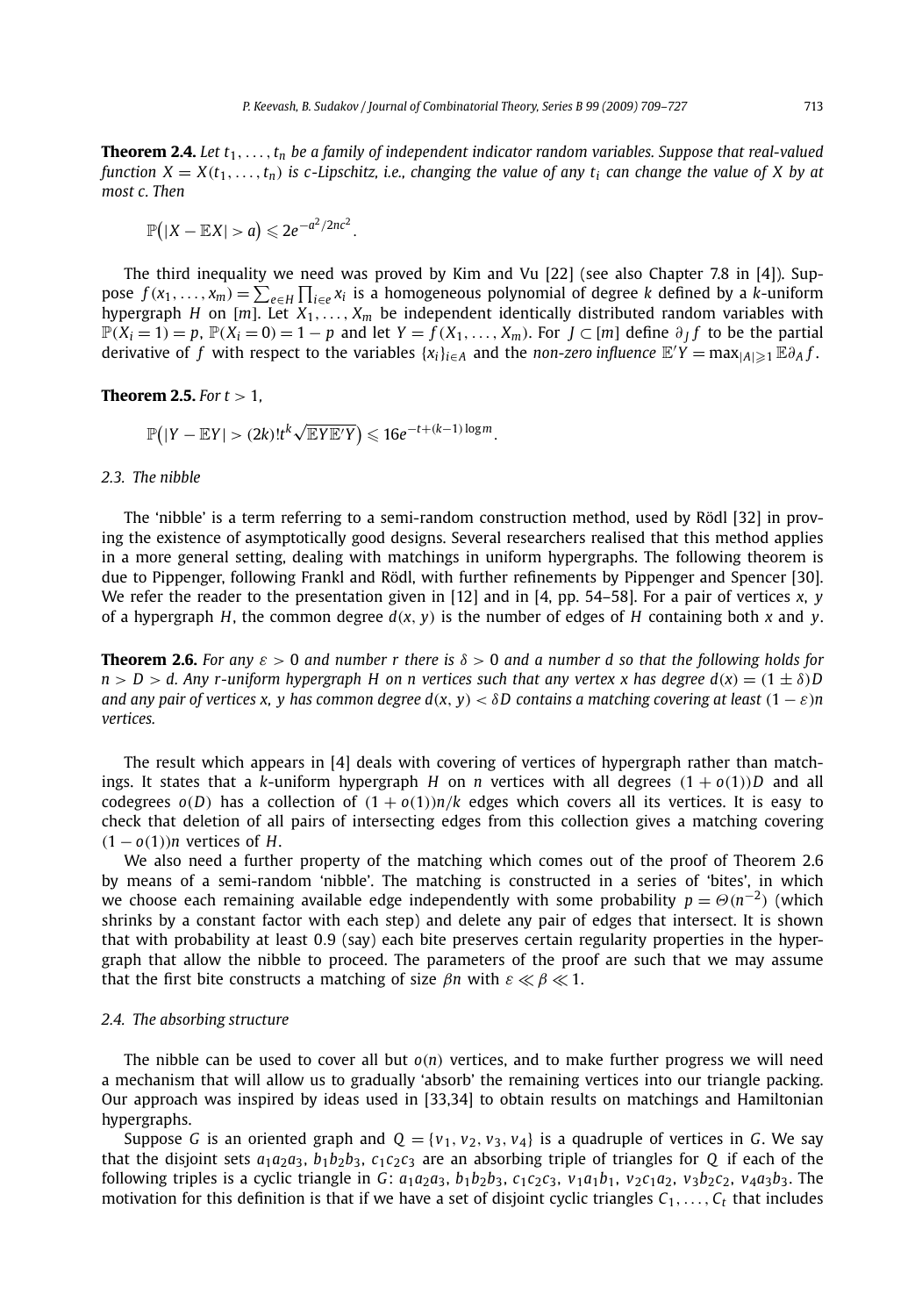**Theorem 2.4.** *Let t*1*,...,tn be a family of independent indicator random variables. Suppose that real-valued function*  $X = X(t_1, \ldots, t_n)$  *is c-Lipschitz, i.e., changing the value of any*  $t_i$  *can change the value of X by at most c. Then*

$$
\mathbb{P}(|X-\mathbb{E}X|>a)\leqslant 2e^{-a^2/2nc^2}.
$$

The third inequality we need was proved by Kim and Vu [22] (see also Chapter 7.8 in [4]). Suppose  $f(x_1,...,x_m) = \sum_{e \in H} \prod_{i \in e} x_i$  is a homogeneous polynomial of degree *k* defined by a *k*-uniform hypergraph *H* on [*m*]. Let *X*1*,..., Xm* be independent identically distributed random variables with  $\mathbb{P}(X_i=1)=p$ ,  $\mathbb{P}(X_i=0)=1-p$  and let  $Y=f(X_1,\ldots,X_m)$ . For  $J\subset [m]$  define  $\partial_I f$  to be the partial derivative of  $f$  with respect to the variables  $\{x_i\}_{i\in A}$  and the *non-zero influence*  $\mathbb{E}'Y = \max_{|A| \geq 1} \mathbb{E} \partial_A f$ .

**Theorem 2.5.** *For t >* 1*,*

$$
\mathbb{P}(|Y-\mathbb{E}Y|>(2k)!t^k\sqrt{\mathbb{E}Y\mathbb{E}'Y})\leqslant 16e^{-t+(k-1)\log m}.
$$

#### *2.3. The nibble*

The 'nibble' is a term referring to a semi-random construction method, used by Rödl [32] in proving the existence of asymptotically good designs. Several researchers realised that this method applies in a more general setting, dealing with matchings in uniform hypergraphs. The following theorem is due to Pippenger, following Frankl and Rödl, with further refinements by Pippenger and Spencer [30]. We refer the reader to the presentation given in [12] and in [4, pp. 54–58]. For a pair of vertices *x*, *y* of a hypergraph *H*, the common degree  $d(x, y)$  is the number of edges of *H* containing both *x* and *y*.

**Theorem 2.6.** *For any*  $\varepsilon > 0$  *and number r there is*  $\delta > 0$  *and a number d so that the following holds for*  $n > D > d$ . Any r-uniform hypergraph H on n vertices such that any vertex x has degree  $d(x) = (1 \pm \delta)D$ *and any pair of vertices x, y has common degree*  $d(x, y) < \delta D$  *contains a matching covering at least*  $(1 - \varepsilon)n$ *vertices.*

The result which appears in [4] deals with covering of vertices of hypergraph rather than matchings. It states that a *k*-uniform hypergraph *H* on *n* vertices with all degrees  $(1 + o(1))D$  and all codegrees  $o(D)$  has a collection of  $(1 + o(1))n/k$  edges which covers all its vertices. It is easy to check that deletion of all pairs of intersecting edges from this collection gives a matching covering *(*1 − *o(*1*))n* vertices of *H*.

We also need a further property of the matching which comes out of the proof of Theorem 2.6 by means of a semi-random 'nibble'. The matching is constructed in a series of 'bites', in which we choose each remaining available edge independently with some probability  $p = \Theta(n^{-2})$  (which shrinks by a constant factor with each step) and delete any pair of edges that intersect. It is shown that with probability at least 0*.*9 (say) each bite preserves certain regularity properties in the hypergraph that allow the nibble to proceed. The parameters of the proof are such that we may assume that the first bite constructs a matching of size  $\beta n$  with  $\varepsilon \ll \beta \ll 1$ .

#### *2.4. The absorbing structure*

The nibble can be used to cover all but *o(n)* vertices, and to make further progress we will need a mechanism that will allow us to gradually 'absorb' the remaining vertices into our triangle packing. Our approach was inspired by ideas used in [33,34] to obtain results on matchings and Hamiltonian hypergraphs.

Suppose *G* is an oriented graph and  $Q = \{v_1, v_2, v_3, v_4\}$  is a quadruple of vertices in *G*. We say that the disjoint sets  $a_1a_2a_3$ ,  $b_1b_2b_3$ ,  $c_1c_2c_3$  are an absorbing triple of triangles for *Q* if each of the following triples is a cyclic triangle in G:  $a_1a_2a_3$ ,  $b_1b_2b_3$ ,  $c_1c_2c_3$ ,  $v_1a_1b_1$ ,  $v_2c_1a_2$ ,  $v_3b_2c_2$ ,  $v_4a_3b_3$ . The motivation for this definition is that if we have a set of disjoint cyclic triangles  $C_1, \ldots, C_t$  that includes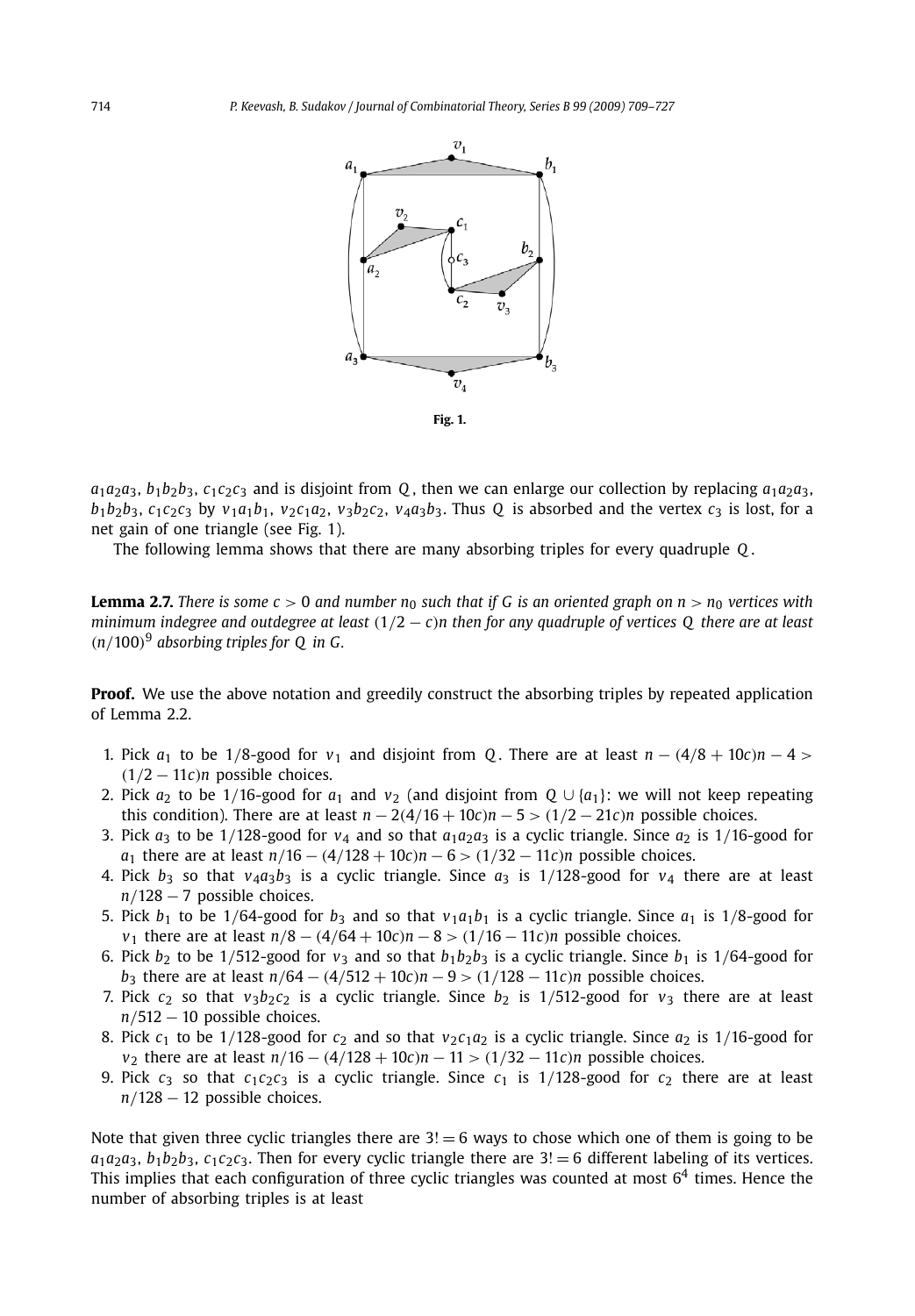

 $a_1a_2a_3$ ,  $b_1b_2b_3$ ,  $c_1c_2c_3$  and is disjoint from *Q*, then we can enlarge our collection by replacing  $a_1a_2a_3$ ,  $b_1b_2b_3$ ,  $c_1c_2c_3$  by  $v_1a_1b_1$ ,  $v_2c_1a_2$ ,  $v_3b_2c_2$ ,  $v_4a_3b_3$ . Thus Q is absorbed and the vertex  $c_3$  is lost, for a net gain of one triangle (see Fig. 1).

The following lemma shows that there are many absorbing triples for every quadruple *Q* .

**Lemma 2.7.** *There is some c > 0 and number n<sub>0</sub> such that if G is an oriented graph on*  $n > n_0$  *vertices with minimum indegree and outdegree at least (*1*/*2 − *c)n then for any quadruple of vertices Q there are at least (n/*100*)*<sup>9</sup> *absorbing triples for Q in G.*

**Proof.** We use the above notation and greedily construct the absorbing triples by repeated application of Lemma 2.2.

- 1. Pick  $a_1$  to be 1/8-good for  $v_1$  and disjoint from Q. There are at least  $n (4/8 + 10c)n 4$  $(1/2 - 11c)n$  possible choices.
- 2. Pick  $a_2$  to be 1/16-good for  $a_1$  and  $v_2$  (and disjoint from  $Q \cup \{a_1\}$ : we will not keep repeating this condition). There are at least  $n - 2(4/16 + 10c)n - 5 > (1/2 - 21c)n$  possible choices.
- 3. Pick  $a_3$  to be 1/128-good for  $v_4$  and so that  $a_1a_2a_3$  is a cyclic triangle. Since  $a_2$  is 1/16-good for *a*<sub>1</sub> there are at least  $n/16 - (4/128 + 10c)n - 6 > (1/32 - 11c)n$  possible choices.
- 4. Pick  $b_3$  so that  $v_4a_3b_3$  is a cyclic triangle. Since  $a_3$  is  $1/128$ -good for  $v_4$  there are at least *n/*128 − 7 possible choices.
- 5. Pick  $b_1$  to be 1/64-good for  $b_3$  and so that  $v_1a_1b_1$  is a cyclic triangle. Since  $a_1$  is 1/8-good for *v*<sub>1</sub> there are at least  $n/8 - (4/64 + 10c)n - 8 > (1/16 − 11c)n$  possible choices.
- 6. Pick  $b_2$  to be 1/512-good for  $v_3$  and so that  $b_1b_2b_3$  is a cyclic triangle. Since  $b_1$  is 1/64-good for *b*<sub>3</sub> there are at least  $n/64 - (4/512 + 10c)n - 9 > (1/128 - 11c)n$  possible choices.
- 7. Pick  $c_2$  so that  $v_3b_2c_2$  is a cyclic triangle. Since  $b_2$  is 1/512-good for  $v_3$  there are at least *n/*512 − 10 possible choices.
- 8. Pick  $c_1$  to be 1/128-good for  $c_2$  and so that  $v_2c_1a_2$  is a cyclic triangle. Since  $a_2$  is 1/16-good for *v*<sup>2</sup> there are at least *n/*16 − *(*4*/*128 + 10*c)n* − 11 *> (*1*/*32 − 11*c)n* possible choices.
- 9. Pick  $c_3$  so that  $c_1c_2c_3$  is a cyclic triangle. Since  $c_1$  is  $1/128$ -good for  $c_2$  there are at least *n/*128 − 12 possible choices.

Note that given three cyclic triangles there are  $3! = 6$  ways to chose which one of them is going to be  $a_1a_2a_3$ ,  $b_1b_2b_3$ ,  $c_1c_2c_3$ . Then for every cyclic triangle there are  $3! = 6$  different labeling of its vertices. This implies that each configuration of three cyclic triangles was counted at most  $6<sup>4</sup>$  times. Hence the number of absorbing triples is at least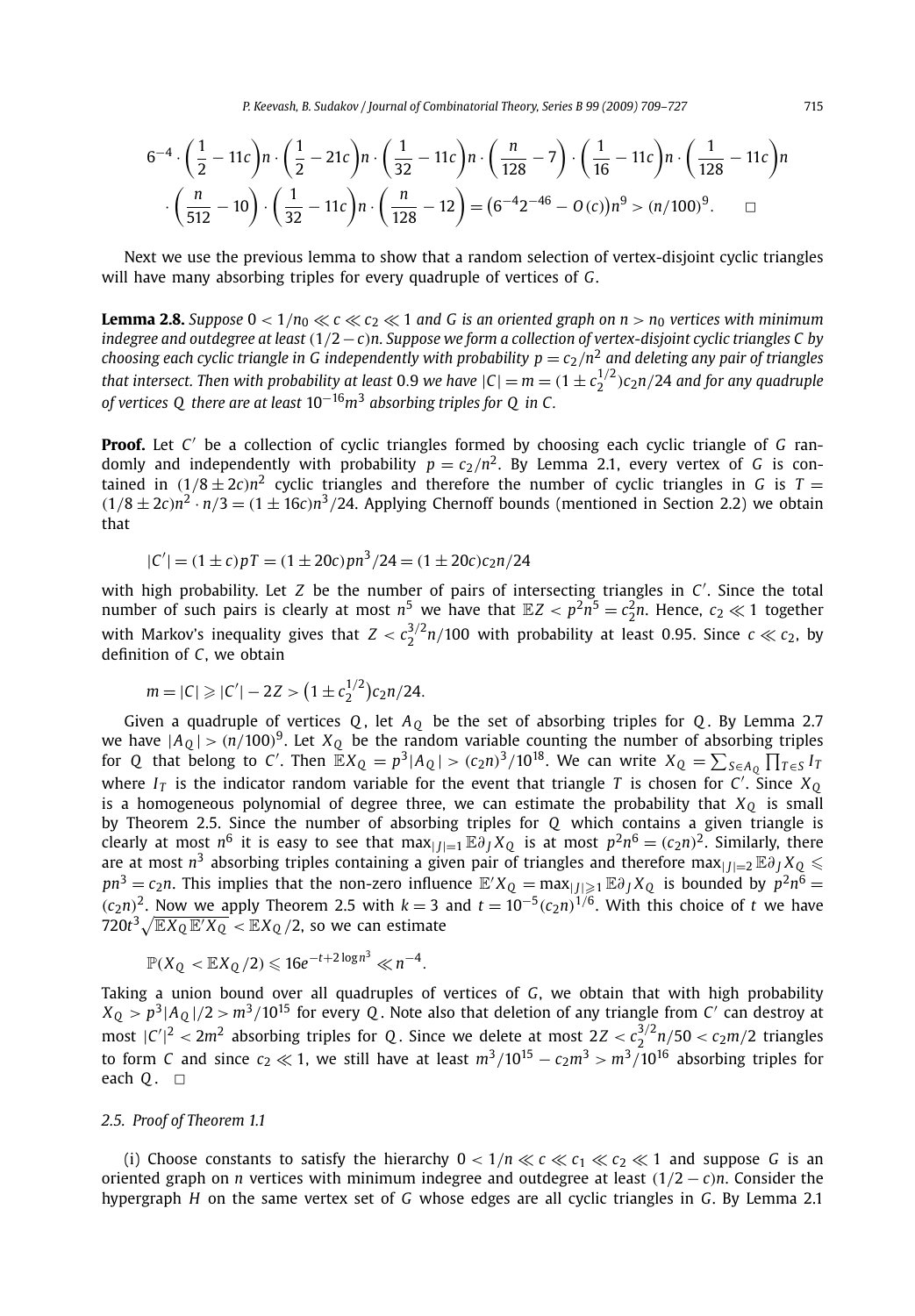*P. Keevash, B. Sudakov / Journal of Combinatorial Theory, Series B 99 (2009) 709–727* 715

$$
6^{-4} \cdot \left(\frac{1}{2} - 11c\right) n \cdot \left(\frac{1}{2} - 21c\right) n \cdot \left(\frac{1}{32} - 11c\right) n \cdot \left(\frac{n}{128} - 7\right) \cdot \left(\frac{1}{16} - 11c\right) n \cdot \left(\frac{1}{128} - 11c\right) n
$$

$$
\cdot \left(\frac{n}{512} - 10\right) \cdot \left(\frac{1}{32} - 11c\right) n \cdot \left(\frac{n}{128} - 12\right) = (6^{-4}2^{-46} - 0(c)) n^9 > (n/100)^9. \square
$$

Next we use the previous lemma to show that a random selection of vertex-disjoint cyclic triangles will have many absorbing triples for every quadruple of vertices of *G*.

**Lemma 2.8.** *Suppose*  $0 < 1/n_0 \ll c \ll c_2 \ll 1$  *and G is an oriented graph on n* >  $n_0$  *vertices with minimum indegree and outdegree at least (*1*/*2−*c)n. Suppose we form a collection of vertex-disjoint cyclic triangles C by choosing each cyclic triangle in G independently with probability*  $p = c_2/n^2$  *and deleting any pair of triangles that intersect. Then with probability at least 0.9 we have*  $|C| = m = (1 \pm c_2^{1/2})c_2n/24$  *and for any quadruple of vertices Q there are at least* 10−16*m*<sup>3</sup> *absorbing triples for Q in C .*

**Proof.** Let *C* be a collection of cyclic triangles formed by choosing each cyclic triangle of *G* randomly and independently with probability  $p = c_2/n^2$ . By Lemma 2.1, every vertex of *G* is contained in  $(1/8 \pm 2c)n^2$  cyclic triangles and therefore the number of cyclic triangles in *G* is *T* =  $(1/8 \pm 2c)n^2 \cdot n/3 = (1 \pm 16c)n^3/24$ . Applying Chernoff bounds (mentioned in Section 2.2) we obtain that

$$
|C'| = (1 \pm c)pT = (1 \pm 20c)pn^3/24 = (1 \pm 20c)c_2n/24
$$

with high probability. Let *Z* be the number of pairs of intersecting triangles in *C* . Since the total number of such pairs is clearly at most  $n^5$  we have that  $\mathbb{E}Z < p^2n^5 = c_2^2n$ . Hence,  $c_2 \ll 1$  together with Markov's inequality gives that  $Z < c_2^{3/2}n/100$  with probability at least 0.95. Since  $c \ll c_2$ , by definition of *C*, we obtain

$$
m = |C| \geqslant |C'| - 2Z > (1 \pm c_2^{1/2})c_2n/24.
$$

Given a quadruple of vertices *Q* , let *AQ* be the set of absorbing triples for *Q* . By Lemma 2.7 we have  $|A_{Q}| > (n/100)^{9}$ . Let  $X_{Q}$  be the random variable counting the number of absorbing triples for *Q* that belong to *C'*. Then  $\mathbb{E}X_{Q} = p^{3}|A_{Q}| > (c_{2}n)^{3}/10^{18}$ . We can write  $X_{Q} = \sum_{S \in A_{Q}} \prod_{T \in S} I_{T}$ where  $I_T$  is the indicator random variable for the event that triangle T is chosen for C'. Since  $X_Q$ is a homogeneous polynomial of degree three, we can estimate the probability that  $X_Q$  is small by Theorem 2.5. Since the number of absorbing triples for *Q* which contains a given triangle is clearly at most *n*<sup>6</sup> it is easy to see that max $|I| = 1$   $\mathbb{E} \partial_I X_Q$  is at most  $p^2 n^6 = (c_2 n)^2$ . Similarly, there are at most *n*<sup>3</sup> absorbing triples containing a given pair of triangles and therefore max $|J|=2$   $\mathbb{E}\partial_J X_Q \leq$  $pn^3 = c_2n$ . This implies that the non-zero influence  $\mathbb{E}'X_Q = \max_{|J| \geqslant 1} \mathbb{E}\partial_J X_Q$  is bounded by  $p^2n^6 =$  $(c_2n)^2$ . Now we apply Theorem 2.5 with  $k = 3$  and  $t = 10^{-5} (c_2n)^{1/6}$ . With this choice of *t* we have  $720t^3\sqrt{\mathbb{E} X_\text{Q}\,\mathbb{E}' X_\text{Q}}<\mathbb{E} X_\text{Q}\left/2\text{, so we can estimate}\right.$ 

$$
\mathbb{P}(X_Q < \mathbb{E}X_Q/2) \leq 16e^{-t+2\log n^3} \ll n^{-4}.
$$

Taking a union bound over all quadruples of vertices of *G*, we obtain that with high probability  $X_Q > p^3$  $|A_Q|/2 > m^3/10^{15}$  for every *Q*. Note also that deletion of any triangle from *C* can destroy at most  $|C'|^2 < 2m^2$  absorbing triples for *Q*. Since we delete at most  $2Z < c_2^{3/2}n/50 < c_2m/2$  triangles to form *C* and since  $c_2 \ll 1$ , we still have at least  $m^3/10^{15} - c_2 m^3 > m^3/10^{16}$  absorbing triples for each *Q* . □

#### *2.5. Proof of Theorem 1.1*

(i) Choose constants to satisfy the hierarchy  $0 < 1/n \ll c \ll c_1 \ll c_2 \ll 1$  and suppose *G* is an oriented graph on *n* vertices with minimum indegree and outdegree at least *(*1*/*2 − *c)n*. Consider the hypergraph *H* on the same vertex set of *G* whose edges are all cyclic triangles in *G*. By Lemma 2.1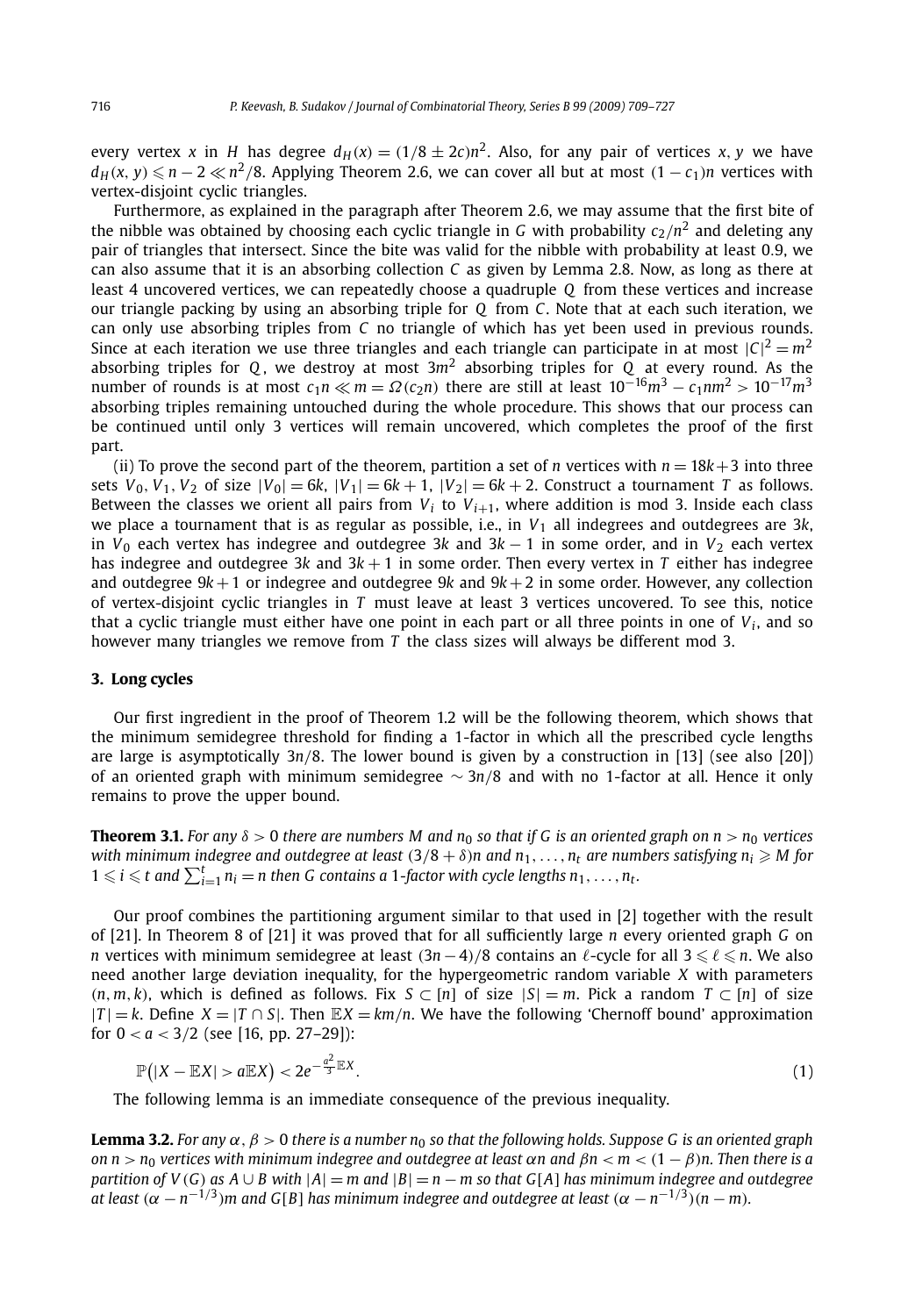every vertex *x* in *H* has degree  $d_H(x) = (1/8 \pm 2c)n^2$ . Also, for any pair of vertices *x*, *y* we have *d*<sub>*H*</sub>(*x*, *y*) ≤ *n* − 2 ≪ *n*<sup>2</sup>/8. Applying Theorem 2.6, we can cover all but at most  $(1 - c_1)n$  vertices with vertex-disjoint cyclic triangles.

Furthermore, as explained in the paragraph after Theorem 2.6, we may assume that the first bite of the nibble was obtained by choosing each cyclic triangle in *G* with probability  $c_2/n^2$  and deleting any pair of triangles that intersect. Since the bite was valid for the nibble with probability at least 0*.*9, we can also assume that it is an absorbing collection *C* as given by Lemma 2.8. Now, as long as there at least 4 uncovered vertices, we can repeatedly choose a quadruple *Q* from these vertices and increase our triangle packing by using an absorbing triple for *Q* from *C*. Note that at each such iteration, we can only use absorbing triples from *C* no triangle of which has yet been used in previous rounds. Since at each iteration we use three triangles and each triangle can participate in at most  $|{\sf C}|^2 = m^2$ absorbing triples for *Q* , we destroy at most 3*m*<sup>2</sup> absorbing triples for *Q* at every round. As the number of rounds is at most  $c_1 n \ll m = \Omega(c_2 n)$  there are still at least  $10^{-16} m^3 - c_1 n m^2 > 10^{-17} m^3$ absorbing triples remaining untouched during the whole procedure. This shows that our process can be continued until only 3 vertices will remain uncovered, which completes the proof of the first part.

(ii) To prove the second part of the theorem, partition a set of *n* vertices with  $n = 18k+3$  into three sets  $V_0$ ,  $V_1$ ,  $V_2$  of size  $|V_0| = 6k$ ,  $|V_1| = 6k + 1$ ,  $|V_2| = 6k + 2$ . Construct a tournament *T* as follows. Between the classes we orient all pairs from  $V_i$  to  $V_{i+1}$ , where addition is mod 3. Inside each class we place a tournament that is as regular as possible, i.e., in  $V_1$  all indegrees and outdegrees are 3k, in  $V_0$  each vertex has indegree and outdegree 3*k* and 3*k* − 1 in some order, and in  $V_2$  each vertex has indegree and outdegree 3*k* and 3*k* + 1 in some order. Then every vertex in *T* either has indegree and outdegree 9*k* +1 or indegree and outdegree 9*k* and 9*k* +2 in some order. However, any collection of vertex-disjoint cyclic triangles in *T* must leave at least 3 vertices uncovered. To see this, notice that a cyclic triangle must either have one point in each part or all three points in one of  $V_i$ , and so however many triangles we remove from *T* the class sizes will always be different mod 3.

#### **3. Long cycles**

Our first ingredient in the proof of Theorem 1.2 will be the following theorem, which shows that the minimum semidegree threshold for finding a 1-factor in which all the prescribed cycle lengths are large is asymptotically 3*n/*8. The lower bound is given by a construction in [13] (see also [20]) of an oriented graph with minimum semidegree ∼ 3*n/*8 and with no 1-factor at all. Hence it only remains to prove the upper bound.

**Theorem 3.1.** For any  $\delta > 0$  there are numbers M and  $n_0$  so that if G is an oriented graph on  $n > n_0$  vertices with minimum indegree and outdegree at least  $(3/8+\delta)n$  and  $n_1,\ldots,n_t$  are numbers satisfying  $n_i\geqslant M$  for  $1 \leqslant i \leqslant t$  and  $\sum_{i=1}^{t} n_i = n$  then G contains a 1-factor with cycle lengths  $n_1, \ldots, n_t$ .

Our proof combines the partitioning argument similar to that used in [2] together with the result of [21]. In Theorem 8 of [21] it was proved that for all sufficiently large *n* every oriented graph *G* on *n* vertices with minimum semidegree at least  $(3n-4)/8$  contains an  $\ell$ -cycle for all 3 ≤  $\ell$  ≤ *n*. We also need another large deviation inequality, for the hypergeometric random variable *X* with parameters *(n, m, k)*, which is defined as follows. Fix *S* ⊂ [*n*] of size  $|S| = m$ . Pick a random *T* ⊂ [*n*] of size  $|T| = k$ . Define  $X = |T \cap S|$ . Then  $\mathbb{E}X = km/n$ . We have the following 'Chernoff bound' approximation for 0 *< a <* 3*/*2 (see [16, pp. 27–29]):

$$
\mathbb{P}(|X - \mathbb{E}X| > a\mathbb{E}X) < 2e^{-\frac{a^2}{3}\mathbb{E}X}.
$$
 (1)

The following lemma is an immediate consequence of the previous inequality.

**Lemma 3.2.** *For any*  $\alpha$ ,  $\beta > 0$  *there is a number n*<sub>0</sub> *so that the following holds. Suppose G is an oriented graph on n*  $> n_0$  *vertices with minimum indegree and outdegree at least αn and βn*  $<$  *m*  $<$  (1 − *β*)*n*. Then there is a *partition of V* (*G*) *as*  $A \cup B$  *with*  $|A| = m$  *and*  $|B| = n - m$  *so that*  $G[A]$  *has minimum indegree and outdegree at least*  $(\alpha - n^{-1/3})m$  *and G*[*B*] *has minimum indegree and outdegree at least*  $(\alpha - n^{-1/3})(n - m)$ *.*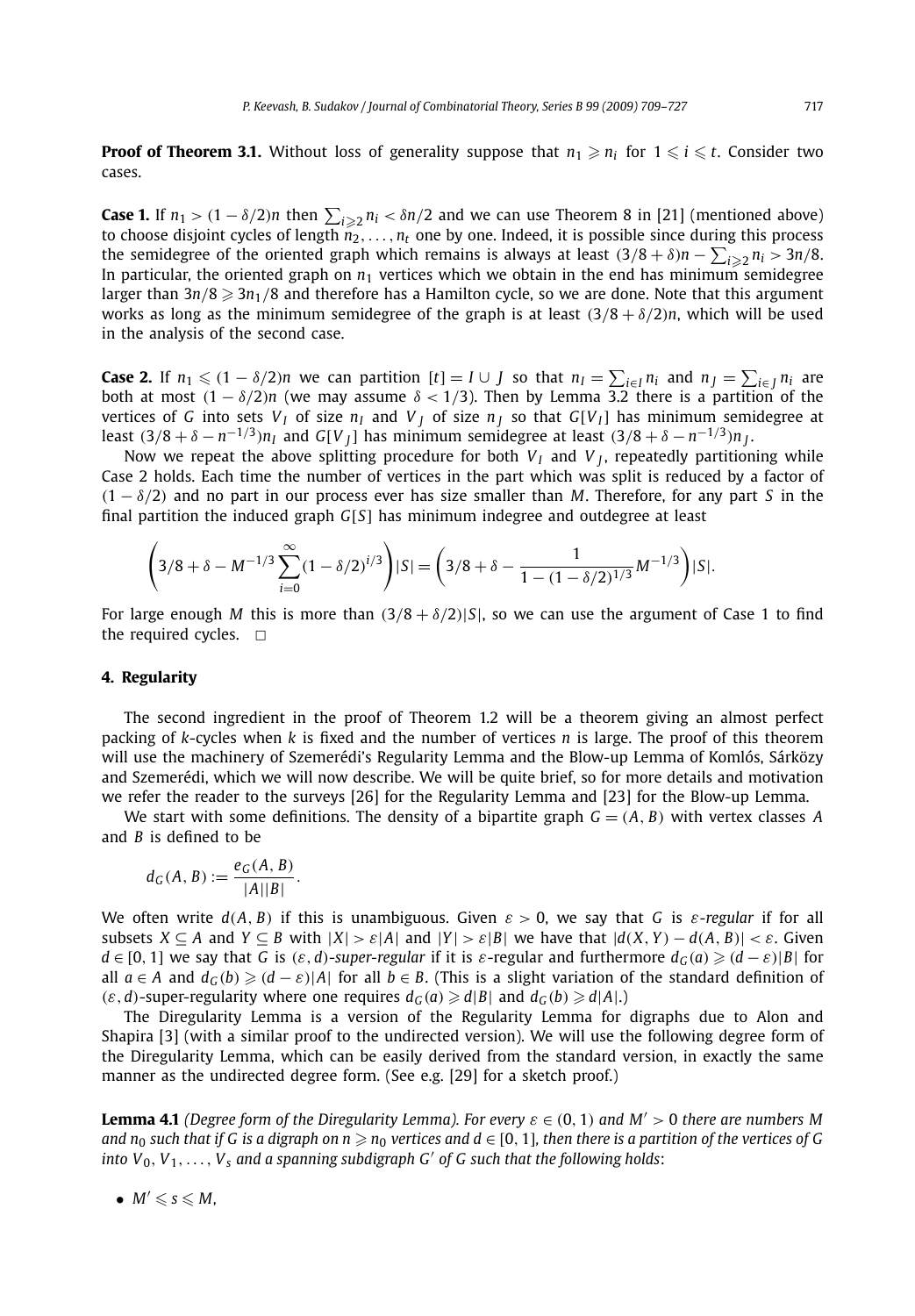**Proof of Theorem 3.1.** Without loss of generality suppose that  $n_1 \geqslant n_i$  for  $1 \leqslant i \leqslant t$ . Consider two cases.

**Case 1.** If  $n_1 > (1 - \delta/2)n$  then  $\sum_{i \geq 2} n_i < \delta n/2$  and we can use Theorem 8 in [21] (mentioned above) to choose disjoint cycles of length  $n_2, \ldots, n_t$  one by one. Indeed, it is possible since during this process the semidegree of the oriented graph which remains is always at least  $(3/8 + \delta)n - \sum_{i \geq 2} n_i > 3n/8$ . In particular, the oriented graph on  $n_1$  vertices which we obtain in the end has minimum semidegree larger than 3n/8 ≥ 3n<sub>1</sub>/8 and therefore has a Hamilton cycle, so we are done. Note that this argument works as long as the minimum semidegree of the graph is at least  $(3/8 + \delta/2)n$ , which will be used in the analysis of the second case.

**Case 2.** If  $n_1 \leqslant (1-\delta/2)n$  we can partition  $[t]=I\cup J$  so that  $n_I=\sum_{i\in I}n_i$  and  $n_J=\sum_{i\in J}n_i$  are both at most  $(1 - \delta/2)n$  (we may assume  $\delta < 1/3$ ). Then by Lemma 3.2 there is a partition of the vertices of *G* into sets  $V_I$  of size  $n_I$  and  $V_J$  of size  $n_J$  so that  $G[V_I]$  has minimum semidegree at least  $(3/8 + \delta - n^{-1/3})n_I$  and  $G[V_I]$  has minimum semidegree at least  $(3/8 + \delta - n^{-1/3})n_I$ .

Now we repeat the above splitting procedure for both  $V_I$  and  $V_I$ , repeatedly partitioning while Case 2 holds. Each time the number of vertices in the part which was split is reduced by a factor of *(*1 − *δ/*2*)* and no part in our process ever has size smaller than *M*. Therefore, for any part *S* in the final partition the induced graph *G*[*S*] has minimum indegree and outdegree at least

$$
\left(3/8+\delta-M^{-1/3}\sum_{i=0}^{\infty}(1-\delta/2)^{i/3}\right)|S|=\left(3/8+\delta-\frac{1}{1-(1-\delta/2)^{1/3}}M^{-1/3}\right)|S|.
$$

For large enough *M* this is more than  $(3/8 + \delta/2)|S|$ , so we can use the argument of Case 1 to find the required cycles.  $\Box$ 

#### **4. Regularity**

The second ingredient in the proof of Theorem 1.2 will be a theorem giving an almost perfect packing of *k*-cycles when *k* is fixed and the number of vertices *n* is large. The proof of this theorem will use the machinery of Szemerédi's Regularity Lemma and the Blow-up Lemma of Komlós, Sárközy and Szemerédi, which we will now describe. We will be quite brief, so for more details and motivation we refer the reader to the surveys [26] for the Regularity Lemma and [23] for the Blow-up Lemma.

We start with some definitions. The density of a bipartite graph  $G = (A, B)$  with vertex classes A and *B* is defined to be

$$
d_G(A, B) := \frac{e_G(A, B)}{|A||B|}.
$$

We often write  $d(A, B)$  if this is unambiguous. Given  $\varepsilon > 0$ , we say that *G* is  $\varepsilon$ -regular if for all subsets  $X \subseteq A$  and  $Y \subseteq B$  with  $|X| > \varepsilon |A|$  and  $|Y| > \varepsilon |B|$  we have that  $|d(X, Y) - d(A, B)| < \varepsilon$ . Given *d* ∈ [0, 1] we say that *G* is  $(\varepsilon, d)$ -*super-regular* if it is  $\varepsilon$ -regular and furthermore  $d_G(a) \geqslant (d - \varepsilon)|B|$  for all *a* ∈ *A* and  $d_G(b)$  ≥  $(d - \varepsilon)$ |*A*| for all *b* ∈ *B*. (This is a slight variation of the standard definition of  $(\varepsilon, d)$ -super-regularity where one requires  $d_G(a) \geq d|B|$  and  $d_G(b) \geq d|A|$ .)

The Diregularity Lemma is a version of the Regularity Lemma for digraphs due to Alon and Shapira [3] (with a similar proof to the undirected version). We will use the following degree form of the Diregularity Lemma, which can be easily derived from the standard version, in exactly the same manner as the undirected degree form. (See e.g. [29] for a sketch proof.)

**Lemma 4.1** *(Degree form of the Diregularity Lemma). For every ε* ∈ *(*0*,* 1*) and M >* 0 *there are numbers M* and  $n_0$  such that if G is a digraph on  $n\geqslant n_0$  vertices and  $d\in[0,1]$ , then there is a partition of the vertices of G *into V*0*, <sup>V</sup>*1*,..., Vs and a spanning subdigraph G of G such that the following holds*:

•  $M' \leq s \leq M$ .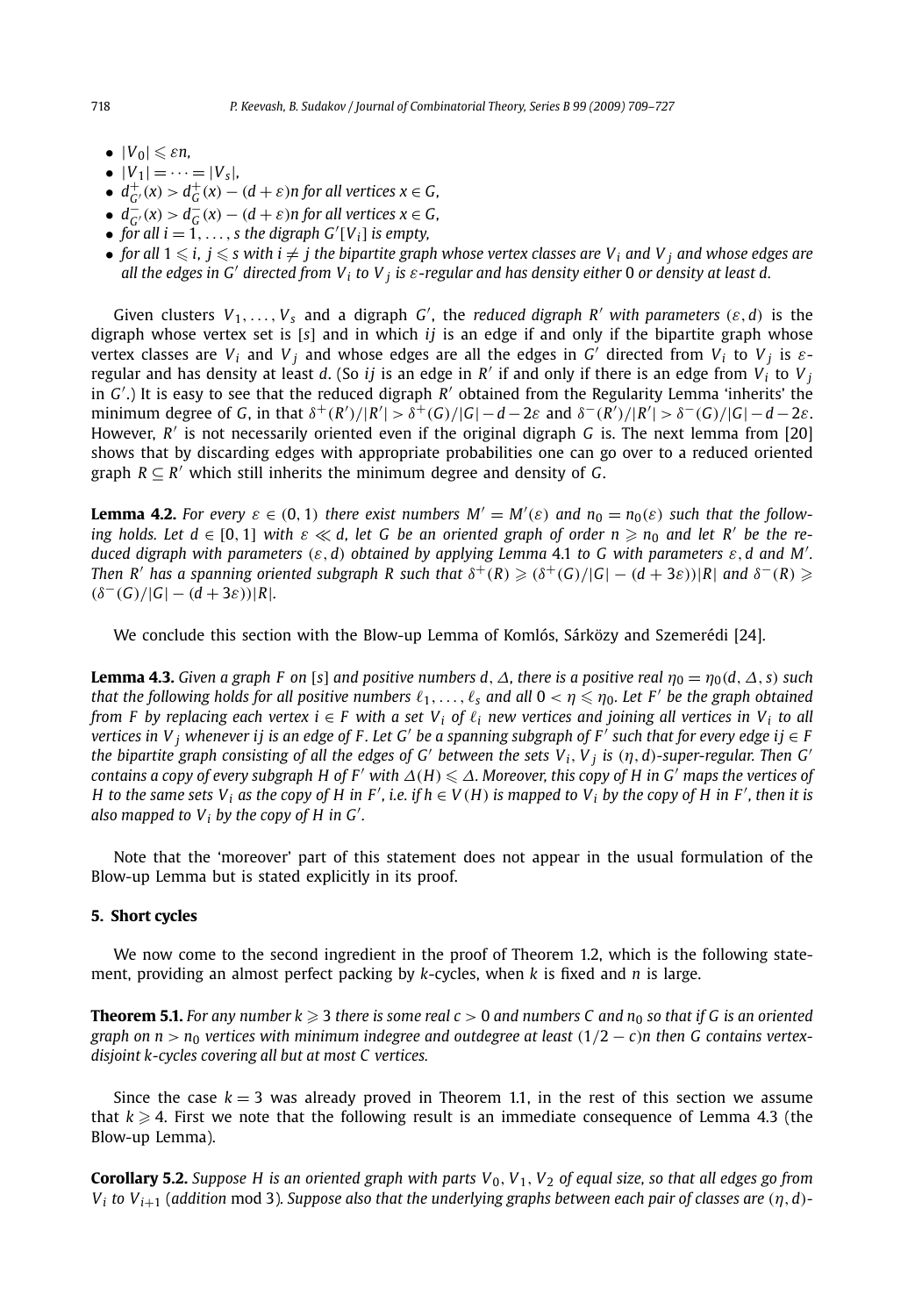- $|V_0| \leq \varepsilon n$ ,
- $|V_1| = \cdots = |V_s|$
- $\bullet$   $d_{G'}^+(x) > d_G^+(x) (d + \varepsilon)n$  for all vertices  $x \in G$ ,
- $\bullet$   $d_G^-(x) > d_G^-(x) (d + \varepsilon)n$  for all vertices  $x \in G$ ,
- *for all*  $i = 1, \ldots, s$  *the digraph*  $G'[V_i]$  *is empty,*
- *for all*  $1 \le i, j \le s$  with  $i \ne j$  the bipartite graph whose vertex classes are V<sub>i</sub> and V<sub>i</sub> and whose edges are *all the edges in G directed from Vi to V <sup>j</sup> is ε-regular and has density either* <sup>0</sup> *or density at least d.*

Given clusters  $V_1, \ldots, V_s$  and a digraph *G'*, the *reduced digraph R'* with parameters  $(\varepsilon, d)$  is the digraph whose vertex set is [*s*] and in which *ij* is an edge if and only if the bipartite graph whose vertex classes are  $V_i$  and  $V_j$  and whose edges are all the edges in *G'* directed from  $V_i$  to  $V_j$  is  $\varepsilon$ regular and has density at least *d*. (So *ij* is an edge in *R'* if and only if there is an edge from  $V_i$  to  $V_j$ in *G* .) It is easy to see that the reduced digraph *R* obtained from the Regularity Lemma 'inherits' the minimum degree of G, in that  $\delta^+(R')/|R'| > \delta^+(G)/|G|-d-2\varepsilon$  and  $\delta^-(R')/|R'| > \delta^-(G)/|G|-d-2\varepsilon$ . However, *R* is not necessarily oriented even if the original digraph *G* is. The next lemma from [20] shows that by discarding edges with appropriate probabilities one can go over to a reduced oriented graph  $R \subseteq R'$  which still inherits the minimum degree and density of *G*.

**Lemma 4.2.** For every  $\varepsilon \in (0, 1)$  there exist numbers  $M' = M'(\varepsilon)$  and  $n_0 = n_0(\varepsilon)$  such that the follow- $\lim_{n \to \infty}$  *holds. Let d*  $\in$  [0, 1] with  $\varepsilon \ll d$ , let G be an oriented graph of order  $n \ge n_0$  and let R' be the re*duced digraph with parameters (ε,d) obtained by applying Lemma* 4.1 *to G with parameters ε,d and M .* Then R' has a spanning oriented subgraph R such that  $\delta^+(R)\geqslant(\delta^+(G)/|G|-(d+3\varepsilon))|R|$  and  $\delta^-(R)\geqslant$  $(\delta^-(G)/|G| - (d+3\varepsilon))|R|$ .

We conclude this section with the Blow-up Lemma of Komlós, Sárközy and Szemerédi [24].

**Lemma 4.3.** *Given a graph F on* [*s*] *and positive numbers d,*  $\Delta$ *, there is a positive real*  $\eta_0 = \eta_0(d, \Delta, s)$  *such that the following holds for all positive numbers*  $\ell_1, \ldots, \ell_s$  *and all*  $0 < \eta \leq \eta_0$ *. Let F' be the graph obtained from F by replacing each vertex*  $i \in F$  *with a set V<sub>i</sub> of*  $\ell_i$  *new vertices and joining all vertices in V<sub>i</sub> to all vertices in V j* whenever ij is an edge of F. Let G' be a spanning subgraph of F' such that for every edge ij ∈ F *the bipartite graph consisting of all the edges of G' between the sets*  $V_i$ *,*  $V_i$  *<i>is*  $(n, d)$ -super-regular. Then G' *contains a copy of every subgraph H of F' with*  $\Delta(H) \leq \Delta$ *. Moreover, this copy of H in G' maps the vertices of H* to the same sets  $V_i$  as the copy of H in F', i.e. if  $h \in V(H)$  is mapped to  $V_i$  by the copy of H in F', then it is *also mapped to Vi by the copy of H in G .*

Note that the 'moreover' part of this statement does not appear in the usual formulation of the Blow-up Lemma but is stated explicitly in its proof.

#### **5. Short cycles**

We now come to the second ingredient in the proof of Theorem 1.2, which is the following statement, providing an almost perfect packing by *k*-cycles, when *k* is fixed and *n* is large.

**Theorem 5.1.** For any number  $k\geqslant 3$  there is some real  $c>0$  and numbers C and  $n_0$  so that if G is an oriented *graph on n* >  $n_0$  *vertices with minimum indegree and outdegree at least*  $(1/2 - c)n$  *then G contains vertexdisjoint k-cycles covering all but at most C vertices.*

Since the case  $k = 3$  was already proved in Theorem 1.1, in the rest of this section we assume that  $k\geqslant 4.$  First we note that the following result is an immediate consequence of Lemma 4.3 (the Blow-up Lemma).

**Corollary 5.2.** Suppose H is an oriented graph with parts  $V_0$ ,  $V_1$ ,  $V_2$  of equal size, so that all edges go from *Vi to Vi*+<sup>1</sup> (*addition* mod 3)*. Suppose also that the underlying graphs between each pair of classes are (η,d)-*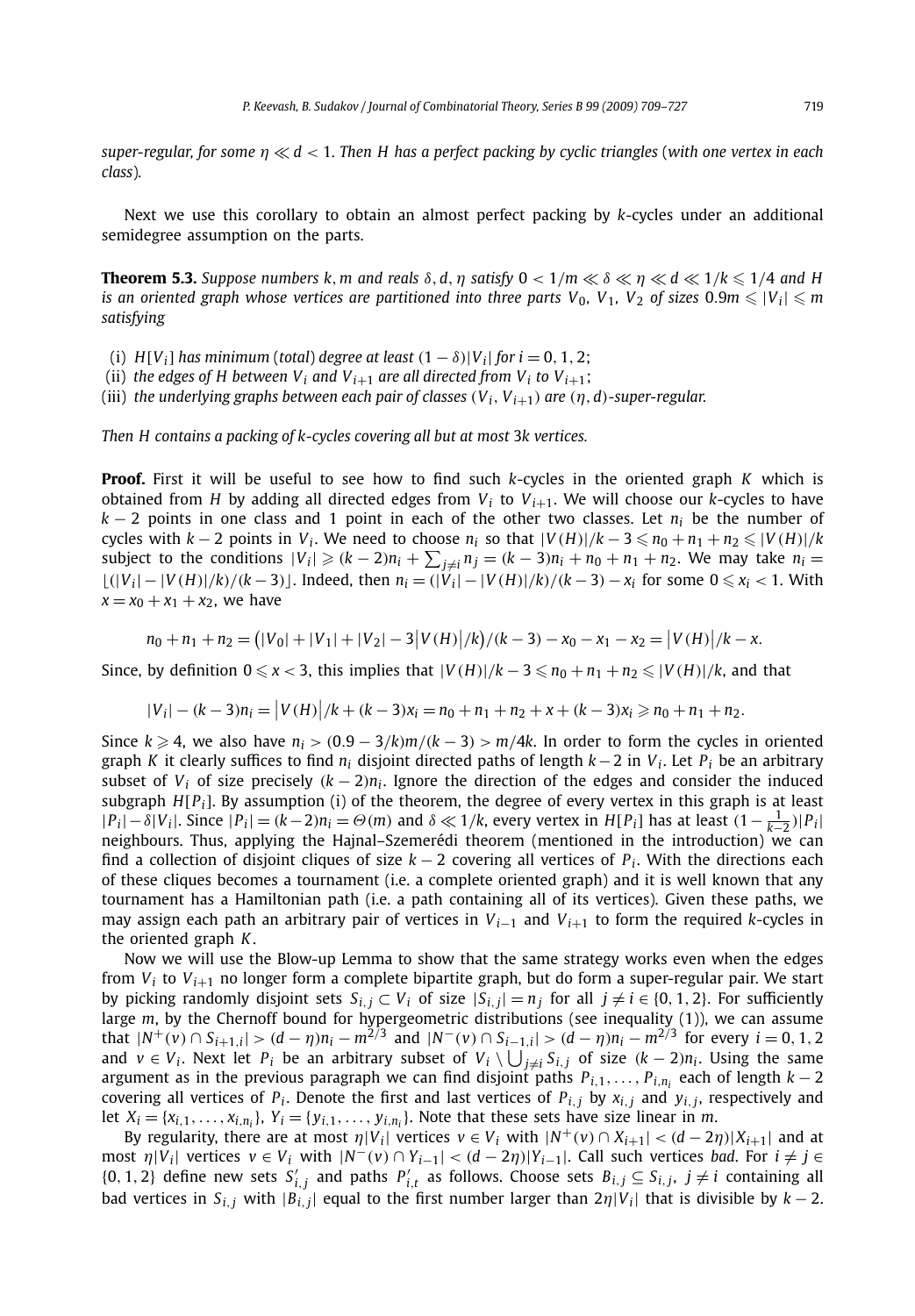*super-regular, for some η d <* 1*. Then H has a perfect packing by cyclic triangles* (*with one vertex in each class*)*.*

Next we use this corollary to obtain an almost perfect packing by *k*-cycles under an additional semidegree assumption on the parts.

**Theorem 5.3.** Suppose numbers k, m and reals  $\delta$ , d,  $\eta$  satisfy  $0 < 1/m \ll \delta \ll \eta \ll d \ll 1/k \leq 1/4$  and H *is an oriented graph whose vertices are partitioned into three parts*  $V_0$ *,*  $V_1$ *,*  $V_2$  *of sizes 0.9<i>m*  $\leq |V_i| \leq m$ *satisfying*

- (i)  $H[V_i]$  has minimum (total) degree at least  $(1 \delta)|V_i|$  for  $i = 0, 1, 2$ ;
- (ii) *the edges of H between V<sub>i</sub> and V<sub>i+1</sub> are all directed from V<sub>i</sub> to V<sub>i+1</sub>;*
- (iii) *the underlying graphs between each pair of classes*  $(V_i, V_{i+1})$  *are*  $(\eta, d)$ *-super-regular.*

*Then H contains a packing of k-cycles covering all but at most* 3*k vertices.*

**Proof.** First it will be useful to see how to find such *k*-cycles in the oriented graph *K* which is obtained from *H* by adding all directed edges from  $V_i$  to  $V_{i+1}$ . We will choose our *k*-cycles to have  $k - 2$  points in one class and 1 point in each of the other two classes. Let  $n_i$  be the number of cycles with  $k-2$  points in  $V_i$ . We need to choose  $n_i$  so that  $|V(H)|/k-3 \leq n_0 + n_1 + n_2 \leq |V(H)|/k$ subject to the conditions  $|V_i| \geqslant (k-2)n_i + \sum_{j \neq i} n_j = (k-3)n_i + n_0 + n_1 + n_2$ . We may take  $n_i =$  $\lfloor (|V_i| - |V(H)|/k)/(k-3) \rfloor$ . Indeed, then  $n_i = (|V_i| - |V(H)|/k)/(k-3) - x_i$  for some  $0 \le x_i < 1$ . With  $x = x_0 + x_1 + x_2$ , we have

$$
n_0 + n_1 + n_2 = (|V_0| + |V_1| + |V_2| - 3|V(H)|/k)/(k-3) - x_0 - x_1 - x_2 = |V(H)|/k - x.
$$

Since, by definition  $0 \le x < 3$ , this implies that  $|V(H)|/k - 3 \le n_0 + n_1 + n_2 \le |V(H)|/k$ , and that

$$
|V_i| - (k-3)n_i = |V(H)|/k + (k-3)x_i = n_0 + n_1 + n_2 + x + (k-3)x_i \ge n_0 + n_1 + n_2.
$$

Since  $k \ge 4$ , we also have  $n_i$  >  $(0.9 - 3/k)m/(k - 3)$  >  $m/4k$ . In order to form the cycles in oriented graph *K* it clearly suffices to find *ni* disjoint directed paths of length *k*−2 in *Vi* . Let *Pi* be an arbitrary subset of  $V_i$  of size precisely  $(k-2)n_i$ . Ignore the direction of the edges and consider the induced subgraph  $H[P_i]$ . By assumption (i) of the theorem, the degree of every vertex in this graph is at least  $|P_i| - \delta |V_i|$ . Since  $|P_i| = (k-2)n_i = \Theta(m)$  and  $\delta \ll 1/k$ , every vertex in  $H[P_i]$  has at least  $(1 - \frac{1}{k-2})|P_i|$ neighbours. Thus, applying the Hajnal–Szemerédi theorem (mentioned in the introduction) we can find a collection of disjoint cliques of size  $k - 2$  covering all vertices of  $P_i$ . With the directions each of these cliques becomes a tournament (i.e. a complete oriented graph) and it is well known that any tournament has a Hamiltonian path (i.e. a path containing all of its vertices). Given these paths, we may assign each path an arbitrary pair of vertices in  $V_{i-1}$  and  $V_{i+1}$  to form the required *k*-cycles in the oriented graph *K*.

Now we will use the Blow-up Lemma to show that the same strategy works even when the edges from *Vi* to *Vi*+<sup>1</sup> no longer form a complete bipartite graph, but do form a super-regular pair. We start by picking randomly disjoint sets  $S_{i,j} \subset V_i$  of size  $|S_{i,j}| = n_i$  for all  $j \neq i \in \{0, 1, 2\}$ . For sufficiently large *m*, by the Chernoff bound for hypergeometric distributions (see inequality (1)), we can assume that  $|N^+(v) \cap S_{i+1,i}| > (d - \eta)n_i - m^{2/3}$  and  $|N^-(v) \cap S_{i-1,i}| > (d - \eta)n_i - m^{2/3}$  for every  $i = 0, 1, 2$ and *v* ∈ *V<sub>i</sub>*. Next let *P<sub>i</sub>* be an arbitrary subset of *V<sub>i</sub>* \  $\bigcup_{j\neq i}$  *S<sub>i,j</sub>* of size  $(k-2)n_i$ . Using the same argument as in the previous paragraph we can find disjoint paths  $P_{i,1}, \ldots, P_{i,n_i}$  each of length  $k-2$ covering all vertices of  $P_i$ . Denote the first and last vertices of  $P_{i,j}$  by  $x_{i,j}$  and  $y_{i,j}$ , respectively and let  $X_i = \{x_{i,1}, \ldots, x_{i,n_i}\}, Y_i = \{y_{i,1}, \ldots, y_{i,n_i}\}.$  Note that these sets have size linear in *m*.

By regularity, there are at most  $\eta |V_i|$  vertices  $v \in V_i$  with  $|N^+(v) \cap X_{i+1}| < (d-2\eta)|X_{i+1}|$  and at most *η*|*Vi*| vertices *<sup>v</sup>* ∈ *Vi* with |*N*−*(v)* ∩ *Yi*−1| *< (<sup>d</sup>* − <sup>2</sup>*η)*|*Yi*−1|. Call such vertices *bad*. For *<sup>i</sup>* = *<sup>j</sup>* ∈  $\{0, 1, 2\}$  define new sets  $S'_{i,j}$  and paths  $P'_{i,t}$  as follows. Choose sets  $B_{i,j} \subseteq S_{i,j}$ ,  $j \neq i$  containing all bad vertices in  $S_{i,j}$  with  $|B_{i,j}|$  equal to the first number larger than  $2\eta|V_i|$  that is divisible by  $k-2$ .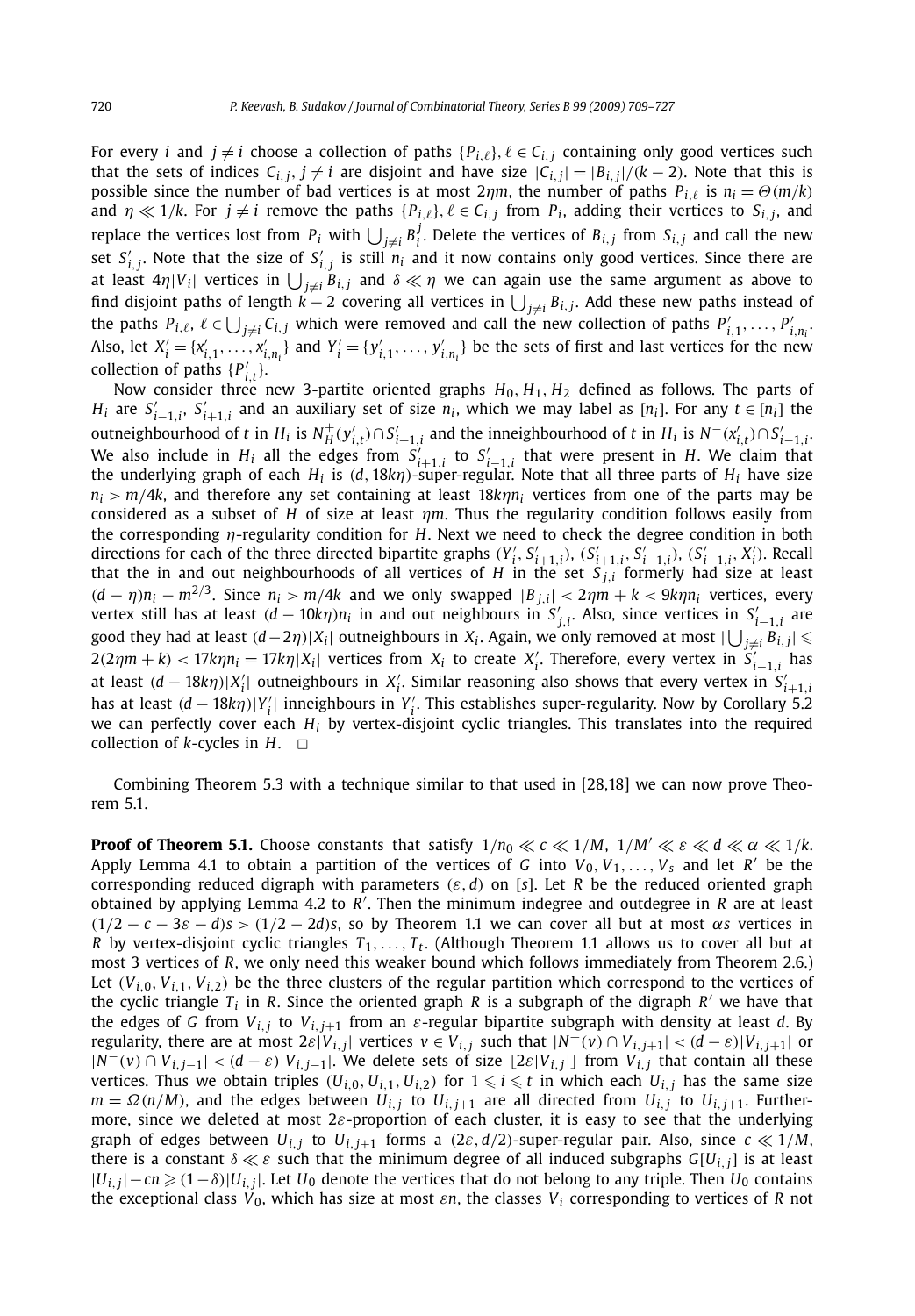For every *i* and  $j \neq i$  choose a collection of paths  $\{P_{i,\ell}\}, \ell \in C_{i,j}$  containing only good vertices such that the sets of indices  $C_{i,j}, j \neq i$  are disjoint and have size  $|C_{i,j}| = |B_{i,j}|/(k-2)$ . Note that this is possible since the number of bad vertices is at most  $2\eta m$ , the number of paths  $P_{i,\ell}$  is  $n_i = \Theta(m/k)$ and  $\eta \ll 1/k$ . For  $j \neq i$  remove the paths  $\{P_{i,\ell}\}, \ell \in C_{i,j}$  from  $P_i$ , adding their vertices to  $S_{i,j}$ , and replace the vertices lost from  $P_i$  with  $\bigcup_{j\neq i} B_i^j$ . Delete the vertices of  $B_{i,j}$  from  $S_{i,j}$  and call the new set  $S'_{i,j}$ . Note that the size of  $S'_{i,j}$  is still  $n_i$  and it now contains only good vertices. Since there are at least  $4\eta|V_i|$  vertices in  $\bigcup_{j\neq i}B_{i,j}$  and  $\delta\ll\eta$  we can again use the same argument as above to find disjoint paths of length *k* − 2 covering all vertices in  $\bigcup_{j\neq i}B_{i,j}.$  Add these new paths instead of the paths  $P_{i,\ell}$ ,  $\ell \in \bigcup_{j \neq i} C_{i,j}$  which were removed and call the new collection of paths  $P'_{i,1}, \ldots, P'_{i,n_i}$ . Also, let  $X'_i = \{x'_{i,1}, \ldots, x'_{i,n_i}\}\$  and  $Y'_i = \{y'_{i,1}, \ldots, y'_{i,n_i}\}\$  be the sets of first and last vertices for the new collection of paths  $\{P'_{i,t}\}.$ 

Now consider three new 3-partite oriented graphs  $H_0$ ,  $H_1$ ,  $H_2$  defined as follows. The parts of *H<sub>i</sub>* are  $S'_{i-1,i}$ ,  $S'_{i+1,i}$  and an auxiliary set of size  $n_i$ , which we may label as  $[n_i]$ . For any  $t \in [n_i]$  the outneighbourhood of t in  $H_i$  is  $N_H^+(y_{i,t}') \cap S_{i+1,i}'$  and the inneighbourhood of t in  $H_i$  is  $N^-(x_{i,t}') \cap S_{i-1,i}'$ . We also include in  $H_i$  all the edges from  $S'_{i+1,i}$  to  $S'_{i-1,i}$  that were present in *H*. We claim that the underlying graph of each *Hi* is *(d,* 18*kη)*-super-regular. Note that all three parts of *Hi* have size  $n_i > m/4k$ , and therefore any set containing at least  $18k/n_i$  vertices from one of the parts may be considered as a subset of *H* of size at least *ηm*. Thus the regularity condition follows easily from the corresponding *η*-regularity condition for *H*. Next we need to check the degree condition in both directions for each of the three directed bipartite graphs  $(Y'_i, S'_{i+1,i})$ ,  $(S'_{i+1,i}, S'_{i-1,i})$ ,  $(S'_{i-1,i}, X'_i)$ . Recall that the in and out neighbourhoods of all vertices of *H* in the set *S <sup>j</sup>,<sup>i</sup>* formerly had size at least  $(d - \eta)n_i - m^{2/3}$ . Since  $n_i > m/4k$  and we only swapped  $|B_{j,i}| < 2\eta m + k < 9k\eta n_i$  vertices, every vertex still has at least  $(d - 10k\eta)n_i$  in and out neighbours in  $S'_{j,i}$ . Also, since vertices in  $S'_{i-1,i}$  are good they had at least  $(d-2\eta)|X_i|$  outneighbours in  $X_i$ . Again, we only removed at most  $|\bigcup_{j\neq i}B_{i,j}|\leqslant$  $2(2\eta m + k) < 17k\eta n_i = 17k\eta |X_i|$  vertices from  $X_i$  to create  $X'_i$ . Therefore, every vertex in  $S'_{i-1,i}$  has at least  $(d - 18k\eta)|X'_i|$  outneighbours in  $X'_i$ . Similar reasoning also shows that every vertex in  $S'_{i+1,i}$ has at least *(d* − 18*kη)*|*Y* | inneighbours in *Y* . This establishes super-regularity. Now by Corollary 5.2  $\alpha$  can perfectly cover each *H<sub>i</sub>* by vertex-disjoint cyclic triangles. This translates into the required we can perfectly cover each *H<sub>i</sub>* by vertex-disjoint cyclic triangles. This translates into the required collection of  $k$ -cycles in  $H$ .  $\Box$ 

Combining Theorem 5.3 with a technique similar to that used in [28,18] we can now prove Theorem 5.1.

**Proof of Theorem 5.1.** Choose constants that satisfy  $1/n_0 \ll c \ll 1/M$ ,  $1/M' \ll c \ll d \ll \alpha \ll 1/k$ . Apply Lemma 4.1 to obtain a partition of the vertices of *G* into  $V_0, V_1, \ldots, V_s$  and let *R'* be the corresponding reduced digraph with parameters *(ε,d)* on [*s*]. Let *R* be the reduced oriented graph obtained by applying Lemma 4.2 to *R* . Then the minimum indegree and outdegree in *R* are at least  $(1/2 - c - 3\varepsilon - d)s > (1/2 - 2d)s$ , so by Theorem 1.1 we can cover all but at most  $\alpha s$  vertices in *R* by vertex-disjoint cyclic triangles  $T_1, \ldots, T_t$ . (Although Theorem 1.1 allows us to cover all but at most 3 vertices of *R*, we only need this weaker bound which follows immediately from Theorem 2.6.) Let  $(V_{i,0}, V_{i,1}, V_{i,2})$  be the three clusters of the regular partition which correspond to the vertices of the cyclic triangle  $T_i$  in *R*. Since the oriented graph *R* is a subgraph of the digraph *R'* we have that the edges of *G* from  $V_{i,j}$  to  $V_{i,j+1}$  from an  $\varepsilon$ -regular bipartite subgraph with density at least *d*. By regularity, there are at most  $2\varepsilon|V_{i,j}|$  vertices  $v \in V_{i,j}$  such that  $|N^+(v) \cap V_{i,j+1}| < (d-\varepsilon)|V_{i,j+1}|$  or  $|N^-(v) \cap V_{i,j-1}| < (d-\varepsilon)|V_{i,j-1}|$ . We delete sets of size  $|2\varepsilon|V_{i,j}|$  from  $V_{i,j}$  that contain all these vertices. Thus we obtain triples  $(U_{i,0}, U_{i,1}, U_{i,2})$  for  $1 \leq i \leq t$  in which each  $U_{i,j}$  has the same size  $m = \Omega(n/M)$ , and the edges between  $U_{i,j}$  to  $U_{i,j+1}$  are all directed from  $U_{i,j}$  to  $U_{i,j+1}$ . Furthermore, since we deleted at most 2*ε*-proportion of each cluster, it is easy to see that the underlying graph of edges between  $U_{i,j}$  to  $U_{i,j+1}$  forms a  $(2\varepsilon, d/2)$ -super-regular pair. Also, since  $c \ll 1/M$ , there is a constant  $\delta \ll \varepsilon$  such that the minimum degree of all induced subgraphs  $G[U_{i,j}]$  is at least  $|U_{i,j}|-cn \geqslant (1-\delta)|U_{i,j}|.$  Let  $U_0$  denote the vertices that do not belong to any triple. Then  $U_0$  contains the exceptional class *V*0, which has size at most *εn*, the classes *Vi* corresponding to vertices of *R* not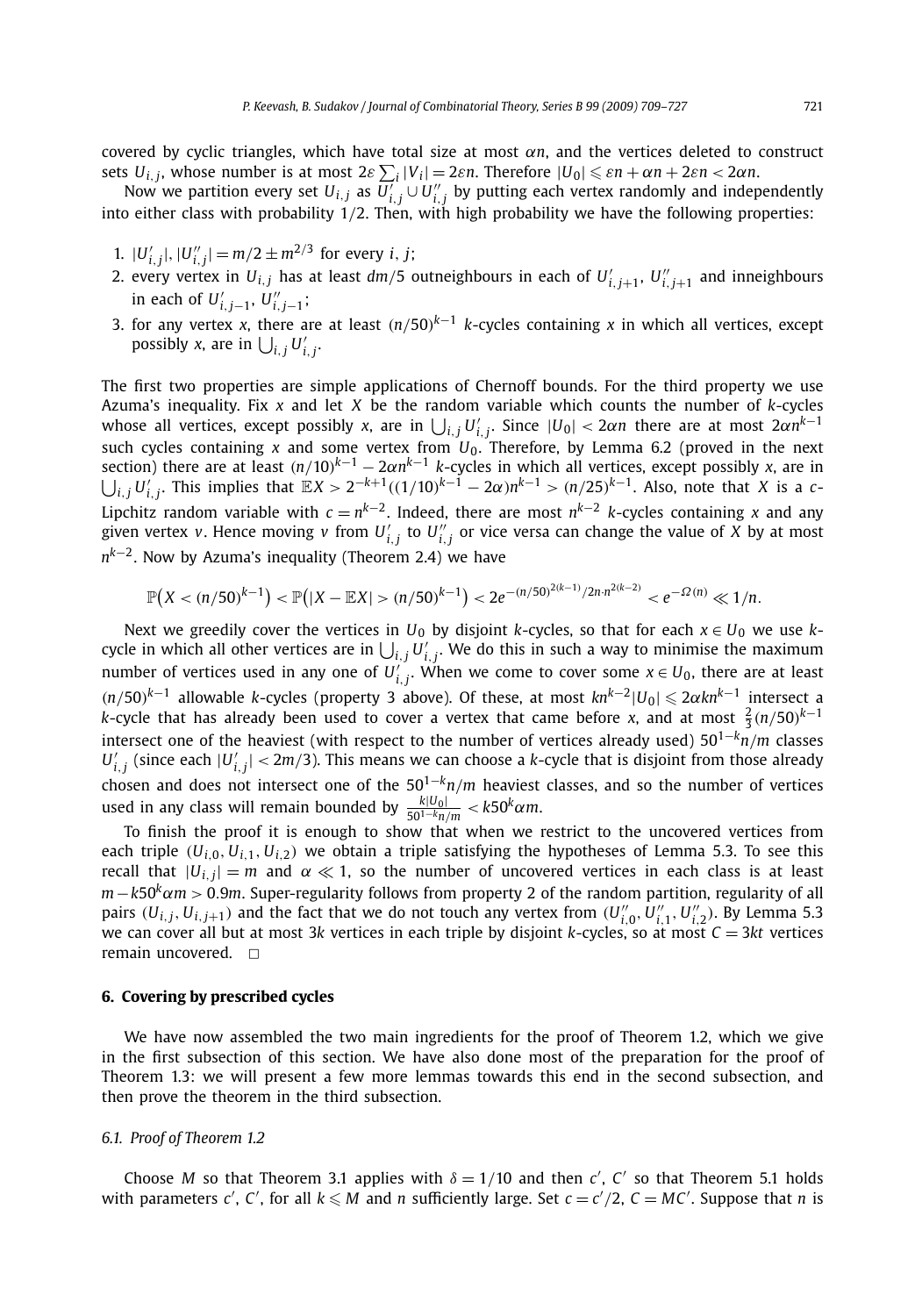covered by cyclic triangles, which have total size at most *αn*, and the vertices deleted to construct  $s$ ets  $U_{i,j}$ , whose number is at most 2 $ε$   $\sum_i |V_i| = 2εn$ . Therefore  $|U_0| ≤ εn + αn + 2εn < 2αn$ .

Now we partition every set  $U_{i,j}$  as  $\overline{U'_{i,j}} \cup U''_{i,j}$  by putting each vertex randomly and independently into either class with probability 1*/*2. Then, with high probability we have the following properties:

- 1.  $|U'_{i,j}|, |U''_{i,j}| = m/2 \pm m^{2/3}$  for every *i*, *j*;
- 2. every vertex in  $U_{i,j}$  has at least  $dm/5$  outneighbours in each of  $U'_{i,j+1}$ ,  $U''_{i,j+1}$  and inneighbours in each of  $U'_{i,j-1}$ ,  $U''_{i,j-1}$ ;
- 3. for any vertex *x*, there are at least *(n/*50*) <sup>k</sup>*−<sup>1</sup> *k*-cycles containing *x* in which all vertices, except possibly *x*, are in  $\bigcup_{i,j} U'_{i,j}$ .

The first two properties are simple applications of Chernoff bounds. For the third property we use Azuma's inequality. Fix *x* and let *X* be the random variable which counts the number of *k*-cycles whose all vertices, except possibly *x*, are in  $\bigcup_{i,j}U'_{i,j}.$  Since  $|U_0| < 2\alpha n$  there are at most  $2\alpha n^{k-1}$ such cycles containing *x* and some vertex from  $U_0$ . Therefore, by Lemma 6.2 (proved in the next section) there are at least *(n/*10*) <sup>k</sup>*−<sup>1</sup> − 2*αnk*<sup>−</sup><sup>1</sup> *k*-cycles in which all vertices, except possibly *x*, are in  $\bigcup_{i,j}U'_{i,j}$ . This implies that  $\mathbb{E}X>2^{-k+1}((1/10)^{k-1}-2\alpha)n^{k-1}>(n/25)^{k-1}$ . Also, note that X is a c-Lipchitz random variable with *c* = *nk*<sup>−</sup>2. Indeed, there are most *nk*<sup>−</sup><sup>2</sup> *k*-cycles containing *x* and any given vertex *v*. Hence moving *v* from  $U'_{i,j}$  to  $U''_{i,j}$  or vice versa can change the value of *X* by at most *nk*<sup>−</sup>2. Now by Azuma's inequality (Theorem 2.4) we have

$$
\mathbb{P}(X < (n/50)^{k-1}) < \mathbb{P}(|X - \mathbb{E}X| > (n/50)^{k-1}) < 2e^{-(n/50)^{2(k-1)}/2n \cdot n^{2(k-2)}} < e^{-\Omega(n)} \ll 1/n.
$$

Next we greedily cover the vertices in  $U_0$  by disjoint *k*-cycles, so that for each  $x \in U_0$  we use *k*cycle in which all other vertices are in  $\bigcup_{i,j} U'_{i,j}$ . We do this in such a way to minimise the maximum number of vertices used in any one of  $U'_{i,j}$ . When we come to cover some  $x \in U_0$ , there are at least *(n/*50*) <sup>k</sup>*−<sup>1</sup> allowable *<sup>k</sup>*-cycles (property 3 above). Of these, at most *knk*<sup>−</sup><sup>2</sup>|*U*0| <sup>2</sup>*αknk*<sup>−</sup><sup>1</sup> intersect a *k*-cycle that has already been used to cover a vertex that came before *x*, and at most  $\frac{2}{3}$ (*n*/50)<sup>*k*−1</sup> intersect one of the heaviest (with respect to the number of vertices already used)  $50^{1-k}n/m$  classes  $U'_{i,j}$  (since each  $|U'_{i,j}| < 2m/3$ ). This means we can choose a *k*-cycle that is disjoint from those already chosen and does not intersect one of the 501<sup>−</sup>*kn/m* heaviest classes, and so the number of vertices  $x^2 + 60$  in any class will remain bounded by  $\frac{k|U_0|}{50^{1-k}n/m} < k50^k \alpha m$ .

To finish the proof it is enough to show that when we restrict to the uncovered vertices from each triple  $(U_{i,0}, U_{i,1}, U_{i,2})$  we obtain a triple satisfying the hypotheses of Lemma 5.3. To see this recall that  $|U_{i,j}| = m$  and  $\alpha \ll 1$ , so the number of uncovered vertices in each class is at least *m*−*k*50<sup>*k*</sup> $\alpha$ *m* > 0.9*m*. Super-regularity follows from property 2 of the random partition, regularity of all pairs  $(U_{i,j}, U_{i,j+1})$  and the fact that we do not touch any vertex from  $(U''_{i,0}, U''_{i,1}, U''_{i,2})$ . By Lemma 5.3 we can cover all but at most 3*k* vertices in each triple by disjoint *k*-cycles, so at most *C* = 3*kt* vertices remain uncovered.  $\square$ 

#### **6. Covering by prescribed cycles**

We have now assembled the two main ingredients for the proof of Theorem 1.2, which we give in the first subsection of this section. We have also done most of the preparation for the proof of Theorem 1.3: we will present a few more lemmas towards this end in the second subsection, and then prove the theorem in the third subsection.

#### *6.1. Proof of Theorem 1.2*

Choose *M* so that Theorem 3.1 applies with  $\delta = 1/10$  and then *c'*, *C'* so that Theorem 5.1 holds with parameters  $c'$ ,  $c'$ , for all  $k \le M$  and  $n$  sufficiently large. Set  $c = c'/2$ ,  $C = MC'$ . Suppose that  $n$  is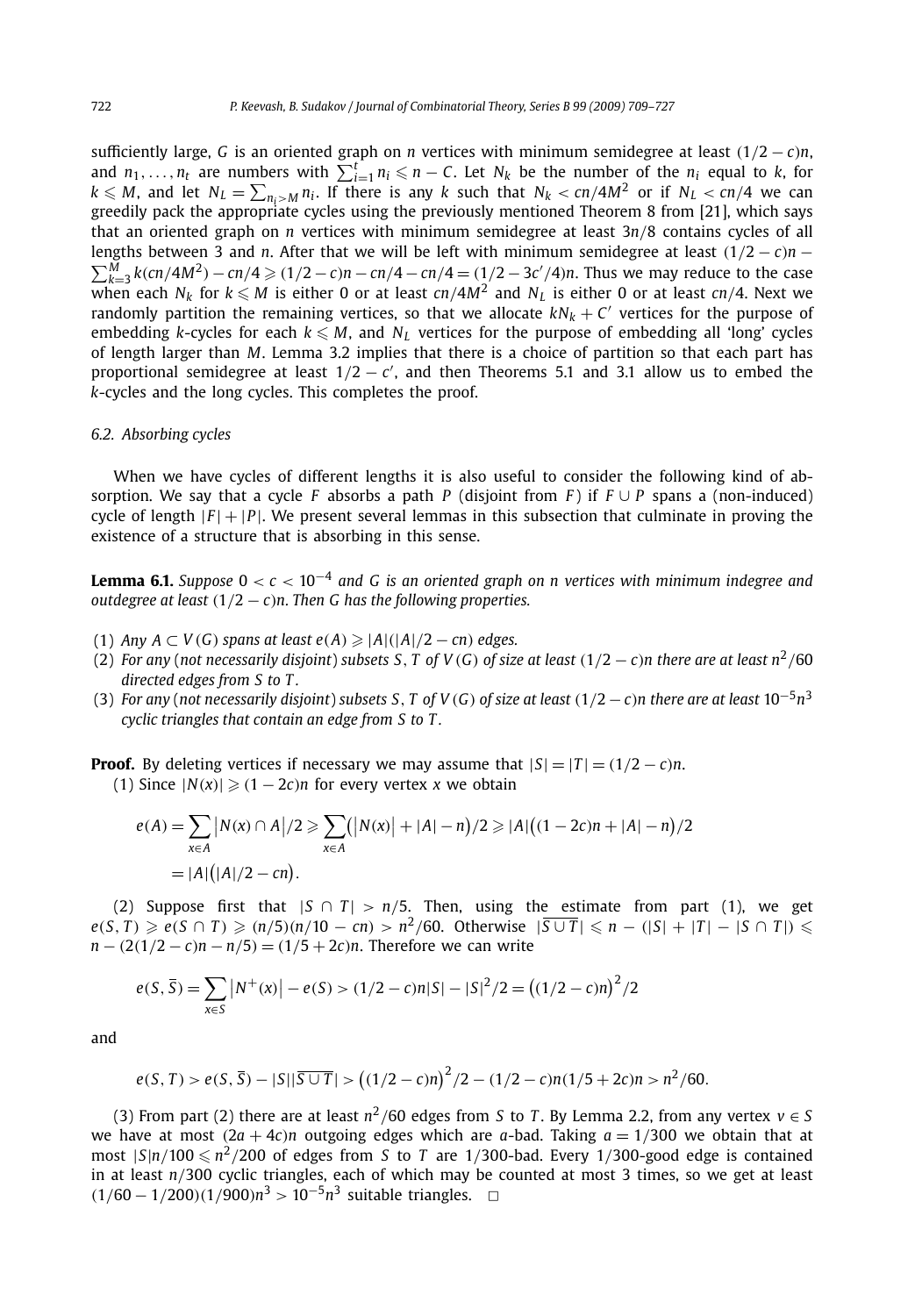sufficiently large, *G* is an oriented graph on *n* vertices with minimum semidegree at least *(*1*/*2 − *c)n*, and  $n_1, \ldots, n_t$  are numbers with  $\sum_{i=1}^t n_i \leq n - C$ . Let  $N_k$  be the number of the  $n_i$  equal to *k*, for  $k \leq M$ , and let  $N_L = \sum_{n_i > M} n_i$ . If there is any *k* such that  $N_k < \frac{cn}{4M^2}$  or if  $N_L < \frac{cn}{4}$  we can greedily pack the appropriate cycles using the previously mentioned Theorem 8 from [21], which says that an oriented graph on *n* vertices with minimum semidegree at least 3*n/*8 contains cycles of all lengths between 3 and *n*. After that we will be left with minimum semidegree at least  $(1/2 - c)n$  −  $\sum_{k=3}^{M} k(cn/4M^2) - cn/4 \ge (1/2 - c)n - cn/4 - cn/4 = (1/2 - 3c'/4)n$ . Thus we may reduce to the case when each  $N_k$  for  $k \leq M$  is either 0 or at least  $cn/4M^2$  and  $N_L$  is either 0 or at least  $cn/4$ . Next we randomly partition the remaining vertices, so that we allocate  $kN_k + C'$  vertices for the purpose of embedding *k*-cycles for each  $k \leq M$ , and  $N_L$  vertices for the purpose of embedding all 'long' cycles of length larger than *M*. Lemma 3.2 implies that there is a choice of partition so that each part has proportional semidegree at least  $1/2 - c'$ , and then Theorems 5.1 and 3.1 allow us to embed the *k*-cycles and the long cycles. This completes the proof.

#### *6.2. Absorbing cycles*

When we have cycles of different lengths it is also useful to consider the following kind of absorption. We say that a cycle *F* absorbs a path *P* (disjoint from *F*) if  $F \cup P$  spans a (non-induced) cycle of length  $|F| + |P|$ . We present several lemmas in this subsection that culminate in proving the existence of a structure that is absorbing in this sense.

**Lemma 6.1.** *Suppose* 0 *< c <* 10−<sup>4</sup> *and G is an oriented graph on n vertices with minimum indegree and outdegree at least (*1*/*2 − *c)n. Then G has the following properties.*

- (1) *Any A* ⊂ *V (G) spans at least e(A)* |*A*|*(*|*A*|*/*2 − *cn) edges.*
- (2) For any (not necessarily disjoint) subsets S, T of V(G) of size at least  $(1/2 c)n$  there are at least  $n^2/60$ *directed edges from S to T .*
- (3) *For any* (*not necessarily disjoint*) *subsets* S, T of  $V(G)$  of size at least  $(1/2 c)n$  there are at least  $10^{-5}n^3$ *cyclic triangles that contain an edge from S to T .*

**Proof.** By deleting vertices if necessary we may assume that  $|S| = |T| = (1/2 - c)n$ . (1) Since  $|N(x)|$  ≥  $(1 − 2c)n$  for every vertex *x* we obtain

$$
e(A) = \sum_{x \in A} |N(x) \cap A|/2 \ge \sum_{x \in A} (|N(x)| + |A| - n)/2 \ge |A|((1 - 2c)n + |A| - n)/2
$$
  
= |A|(|A|/2 - cn).

(2) Suppose first that  $|S \cap T| > n/5$ . Then, using the estimate from part (1), we get  $e(S, T) \geqslant e(S \cap T) \geqslant (n/5)(n/10 - cn) > n^2/60$ . Otherwise  $|\overline{S \cup T}| \leqslant n - (|S| + |T| - |S \cap T|) \leqslant n$ *n* − *(*2*(*1*/*2 − *c)n* − *n/*5*)* = *(*1*/*5 + 2*c)n*. Therefore we can write

$$
e(S, \overline{S}) = \sum_{x \in S} |N^+(x)| - e(S) > (1/2 - c)n|S| - |S|^2/2 = ((1/2 - c)n)^2/2
$$

and

$$
e(S, T) > e(S, \overline{S}) - |S||\overline{S \cup T}| > ((1/2 - c)n)^2/2 - (1/2 - c)n(1/5 + 2c)n > n^2/60.
$$

(3) From part (2) there are at least  $n^2/60$  edges from *S* to *T*. By Lemma 2.2, from any vertex  $v \in S$ we have at most  $(2a + 4c)n$  outgoing edges which are *a*-bad. Taking  $a = 1/300$  we obtain that at most  $|S|n/100 \le n^2/200$  of edges from *S* to *T* are 1/300-bad. Every 1/300-good edge is contained in at least *n/*300 cyclic triangles, each of which may be counted at most 3 times, so we get at least *(*1*/*<sup>60</sup> <sup>−</sup> <sup>1</sup>*/*200*)(*1*/*900*)n*<sup>3</sup> *<sup>&</sup>gt;* <sup>10</sup>−5*n*<sup>3</sup> suitable triangles. ✷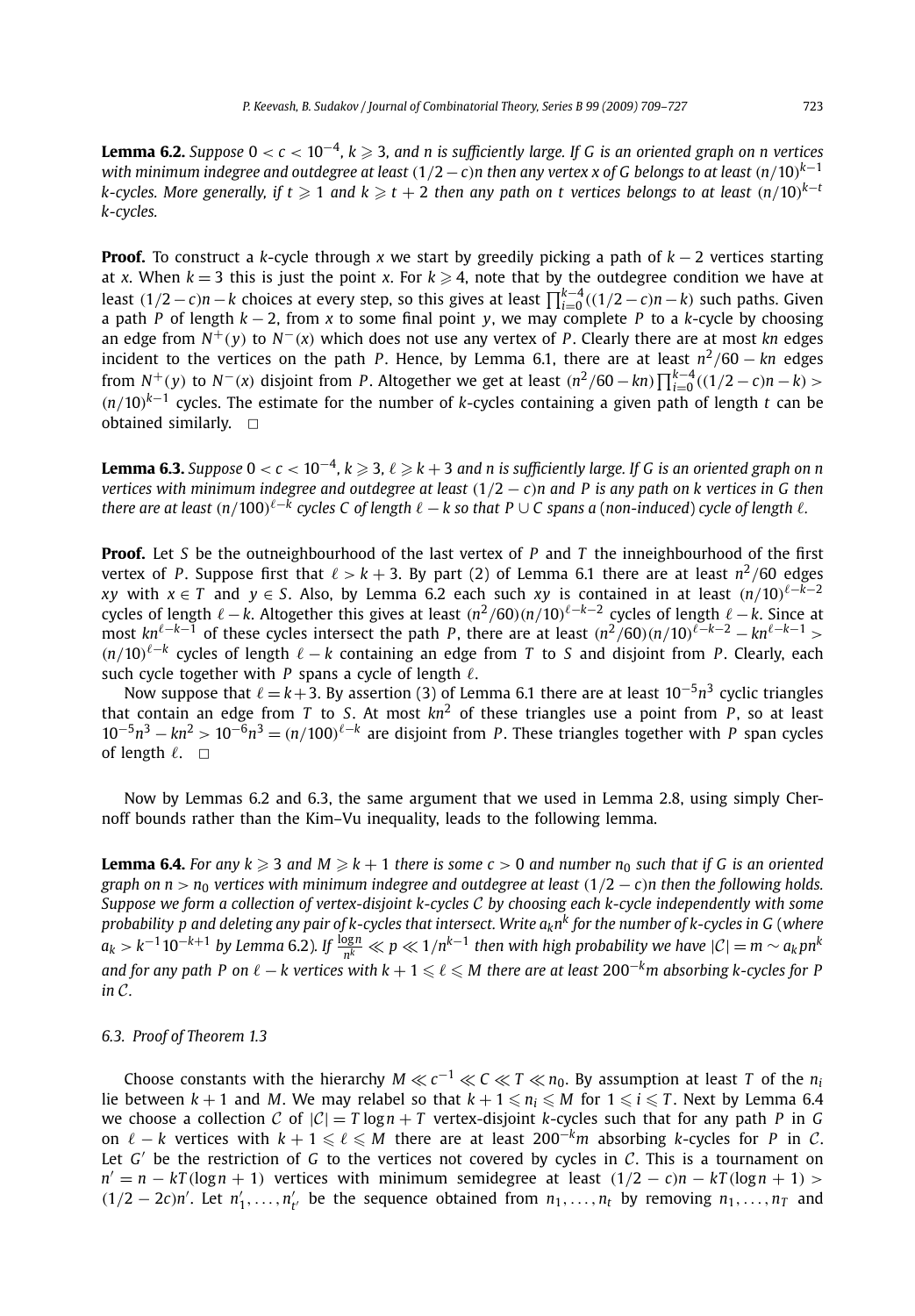**Lemma 6.2.** *Suppose* <sup>0</sup> *< <sup>c</sup> <* <sup>10</sup>−4*, k* - 3*, and n is sufficiently large. If G is an oriented graph on n vertices with minimum indegree and outdegree at least (*1*/*2−*c)n then any vertex x of G belongs to at least (n/*10*) k*−1  $k$ -cycles. More generally, if  $t \geqslant 1$  and  $k \geqslant t+2$  then any path on  $t$  vertices belongs to at least  $(n/10)^{k-1}$ *k-cycles.*

**Proof.** To construct a *k*-cycle through *x* we start by greedily picking a path of *k* − 2 vertices starting at *x*. When  $k=3$  this is just the point *x*. For  $k\geqslant 4$ , note that by the outdegree condition we have at least  $(1/2 − c)n − k$  choices at every step, so this gives at least  $\prod_{i=0}^{k-4}((1/2 − c)n − k)$  such paths. Given a path *P* of length *k* − 2, from *x* to some final point *y*, we may complete *P* to a *k*-cycle by choosing an edge from *N*+*(y)* to *N*−*(x)* which does not use any vertex of *P* . Clearly there are at most *kn* edges incident to the vertices on the path *P*. Hence, by Lemma 6.1, there are at least  $n^2/60 - kn$  edges from  $N^+(y)$  to  $N^-(x)$  disjoint from P. Altogether we get at least  $(n^2/60 - kn) \prod_{i=0}^{k-4} ((1/2 - c)n - k)$ *(n/*10*) <sup>k</sup>*−<sup>1</sup> cycles. The estimate for the number of *k*-cycles containing a given path of length *t* can be obtained similarly.  $\Box$ 

**Lemma 6.3.** Suppose 0 <  $c$  < 10<sup>−4</sup>, k ≥ 3, l ≥ k + 3 and n is sufficiently large. If G is an oriented graph on n *vertices with minimum indegree and outdegree at least (*1*/*2 − *c)n and P is any path on k vertices in G then there are at least*  $(n/100)$ <sup> $\ell - k$ </sup> *cycles C of length*  $\ell - k$  *so that*  $P \cup C$  *spans a* (*non-induced*) *cycle of length*  $\ell$ .

**Proof.** Let *S* be the outneighbourhood of the last vertex of *P* and *T* the inneighbourhood of the first vertex of *P*. Suppose first that  $\ell > k + 3$ . By part (2) of Lemma 6.1 there are at least  $n^2/60$  edges *xy* with  $x \in T$  and  $y \in S$ . Also, by Lemma 6.2 each such *xy* is contained in at least  $(n/10)^{\ell - k - 2}$ cycles of length  $\ell - k$ . Altogether this gives at least  $(n^2/60)(n/10)^{\ell - k - 2}$  cycles of length  $\ell - k$ . Since at most  $kn^{\ell-k-1}$  of these cycles intersect the path *P*, there are at least  $(n^2/60)(n/10)^{\ell-k-2} - kn^{\ell-k-1}$  >  $(n/10)^{ℓ-k}$  cycles of length  $ℓ - k$  containing an edge from *T* to *S* and disjoint from *P*. Clearly, each such cycle together with  $P$  spans a cycle of length  $\ell$ .

Now suppose that  $\ell = k+3$ . By assertion (3) of Lemma 6.1 there are at least 10<sup>-5</sup>n<sup>3</sup> cyclic triangles that contain an edge from *T* to *S*. At most  $kn^2$  of these triangles use a point from *P*, so at least  $10^{-5}n^3 - kn^2 > 10^{-6}n^3 = (n/100)^{\ell-k}$  are disjoint from *P*. These triangles together with *P* span cycles of length  $\ell$ .  $\Box$ 

Now by Lemmas 6.2 and 6.3, the same argument that we used in Lemma 2.8, using simply Chernoff bounds rather than the Kim–Vu inequality, leads to the following lemma.

**Lemma 6.4.** For any  $k \geqslant 3$  and  $M \geqslant k+1$  there is some  $c > 0$  and number  $n_0$  such that if G is an oriented *graph on n* >  $n_0$  *vertices with minimum indegree and outdegree at least*  $(1/2 - c)n$  *then the following holds. Suppose we form a collection of vertex-disjoint k-cycles* C *by choosing each k-cycle independently with some probability p and deleting any pair of k-cycles that intersect. Write aknk for the number of k-cycles in G* (*where*  $a_k > k^{-1}$  10 $^{-k+1}$  *by Lemma* 6.2). If  $\frac{\log n}{n^k} \ll p \ll 1/n^{k-1}$  then with high probability we have  $|{\cal C}| = m \sim a_k p n^k$ *and for any path P on*  $\ell - k$  vertices with  $k + 1 \leq \ell \leq M$  there are at least 200<sup>-*k*</sup>m absorbing k-cycles for P *in* C*.*

### *6.3. Proof of Theorem 1.3*

Choose constants with the hierarchy *M*  $\ll$   $c^{-1} \ll C \ll T \ll n_0$ . By assumption at least *T* of the  $n_i$ lie between  $k + 1$  and M. We may relabel so that  $k + 1 \leq n_i \leq M$  for  $1 \leq i \leq T$ . Next by Lemma 6.4 we choose a collection C of  $|C| = T \log n + T$  vertex-disjoint *k*-cycles such that for any path P in G on  $\ell - k$  vertices with  $k + 1 \leq \ell \leq M$  there are at least 200<sup>-*km*</sup> absorbing *k*-cycles for *P* in *C*. Let  $G'$  be the restriction of  $G$  to the vertices not covered by cycles in  $C$ . This is a tournament on  $n' = n - kT(\log n + 1)$  vertices with minimum semidegree at least  $(1/2 - c)n - kT(\log n + 1)$  >  $(1/2 - 2c)n'$ . Let  $n'_1, \ldots, n'_{t'}$  be the sequence obtained from  $n_1, \ldots, n_t$  by removing  $n_1, \ldots, n_T$  and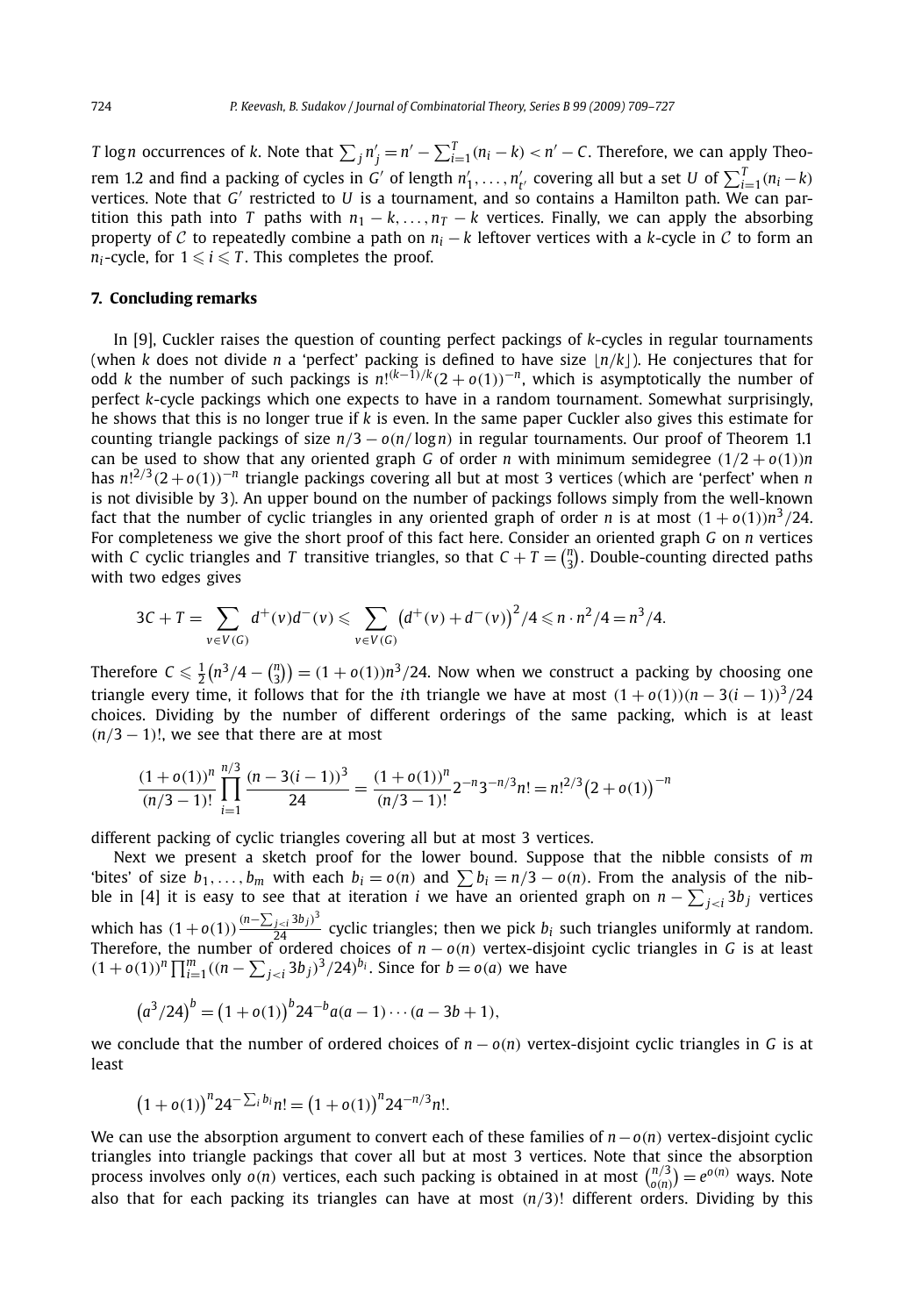*T* log*n* occurrences of *k*. Note that  $\sum_j n'_j = n' - \sum_{i=1}^T (n_i - k) < n' - C$ . Therefore, we can apply Theorem 1.2 and find a packing of cycles in *G'* of length  $n'_1, \ldots, n'_{t'}$  covering all but a set *U* of  $\sum_{i=1}^{T} (n_i - k)$ vertices. Note that *G'* restricted to *U* is a tournament, and so contains a Hamilton path. We can partition this path into *T* paths with  $n_1 - k$ , ...,  $n_T - k$  vertices. Finally, we can apply the absorbing property of C to repeatedly combine a path on  $n_i - k$  leftover vertices with a *k*-cycle in C to form an *n*<sub>*i*</sub>-cycle, for  $1 \le i \le T$ . This completes the proof.

#### **7. Concluding remarks**

In [9], Cuckler raises the question of counting perfect packings of *k*-cycles in regular tournaments (when *k* does not divide *n* a 'perfect' packing is defined to have size  $\lfloor n/k \rfloor$ ). He conjectures that for odd *k* the number of such packings is *n*! *(k*−1*)/<sup>k</sup>(*2 + *o(*1*))*−*n*, which is asymptotically the number of perfect *k*-cycle packings which one expects to have in a random tournament. Somewhat surprisingly, he shows that this is no longer true if *k* is even. In the same paper Cuckler also gives this estimate for counting triangle packings of size *n/*3 − *o(n/* log*n)* in regular tournaments. Our proof of Theorem 1.1 can be used to show that any oriented graph *G* of order *n* with minimum semidegree  $(1/2 + o(1))n$ has *n*! <sup>2</sup>*/*<sup>3</sup>*(*2 +*o(*1*))*−*<sup>n</sup>* triangle packings covering all but at most 3 vertices (which are 'perfect' when *n* is not divisible by 3). An upper bound on the number of packings follows simply from the well-known fact that the number of cyclic triangles in any oriented graph of order *n* is at most  $(1 + o(1))n^3/24$ . For completeness we give the short proof of this fact here. Consider an oriented graph *G* on *n* vertices with *C* cyclic triangles and *T* transitive triangles, so that  $C + T = {n \choose 3}$ . Double-counting directed paths with two edges gives

$$
3C+T = \sum_{v \in V(G)} d^+(v)d^-(v) \leq \sum_{v \in V(G)} (d^+(v)+d^-(v))^2/4 \leq n \cdot n^2/4 = n^3/4.
$$

Therefore  $C \leq \frac{1}{2}(n^3/4 - {n \choose 3}) = (1 + o(1))n^3/24$ . Now when we construct a packing by choosing one triangle every time, it follows that for the *i*th triangle we have at most  $(1 + o(1))(n - 3(i - 1))^{3}/24$ choices. Dividing by the number of different orderings of the same packing, which is at least  $(n/3 - 1)!$ , we see that there are at most

$$
\frac{(1+o(1))^n}{(n/3-1)!} \prod_{i=1}^{n/3} \frac{(n-3(i-1))^3}{24} = \frac{(1+o(1))^n}{(n/3-1)!} 2^{-n} 3^{-n/3} n! = n!^{2/3} (2+o(1))^{-n}
$$

different packing of cyclic triangles covering all but at most 3 vertices.

Next we present a sketch proof for the lower bound. Suppose that the nibble consists of *m* 'bites' of size  $b_1, \ldots, b_m$  with each  $b_i = o(n)$  and  $\sum b_i = n/3 - o(n)$ . From the analysis of the nibble in [4] it is easy to see that at iteration *i* we have an oriented graph on  $n - \sum_{j < i} 3b_j$  vertices which has  $(1+o(1))\frac{(n-\sum_{j cyclic triangles; then we pick  $b_i$  such triangles uniformly at random.$ Therefore, the number of ordered choices of *n* − *o(n)* vertex-disjoint cyclic triangles in *G* is at least  $(1+o(1))^n \prod_{i=1}^m ((n-\sum_{j. Since for  $b = o(a)$  we have$ 

$$
(a3/24)b = (1 + o(1))b 24-b a(a - 1) \cdots (a - 3b + 1),
$$

we conclude that the number of ordered choices of  $n - o(n)$  vertex-disjoint cyclic triangles in *G* is at least

$$
(1+o(1))^{n} 24^{-\sum_{i} b_i} n! = (1+o(1))^{n} 24^{-n/3} n!.
$$

We can use the absorption argument to convert each of these families of *n*−*o(n)* vertex-disjoint cyclic triangles into triangle packings that cover all but at most 3 vertices. Note that since the absorption<br>process involves only  $o(n)$  vertices, each such packing is obtained in at most  $\binom{n/3}{o(n)} = e^{o(n)}$  ways. Note also that for each packing its triangles can have at most *(n/*3*)*! different orders. Dividing by this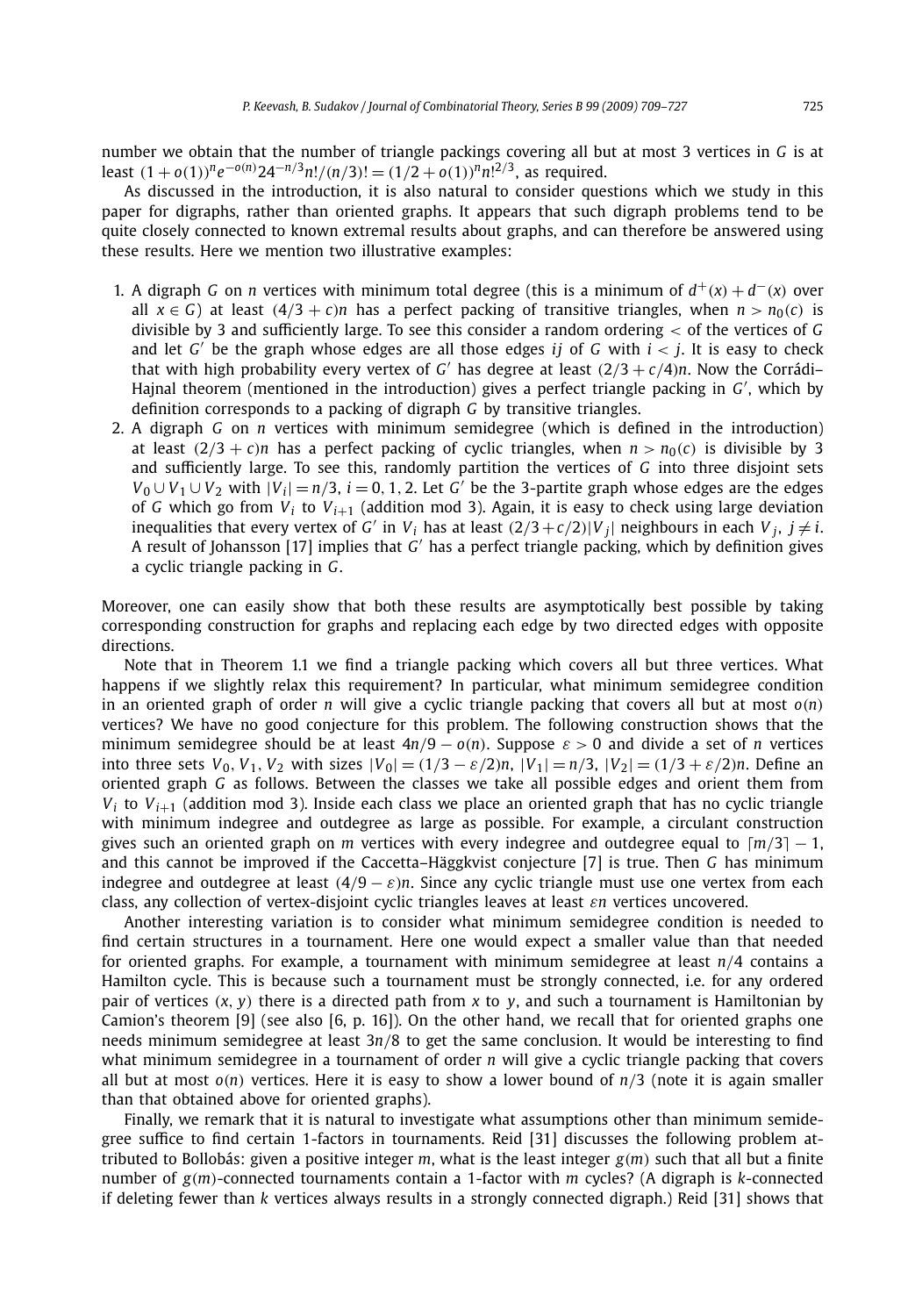number we obtain that the number of triangle packings covering all but at most 3 vertices in *G* is at least  $(1+o(1))$ <sup>n</sup>e<sup>-o(n)</sup>24<sup>-n/3</sup>n!/(n/3)! =  $(1/2+o(1))$ <sup>n</sup>n!<sup>2/3</sup>, as required.

As discussed in the introduction, it is also natural to consider questions which we study in this paper for digraphs, rather than oriented graphs. It appears that such digraph problems tend to be quite closely connected to known extremal results about graphs, and can therefore be answered using these results. Here we mention two illustrative examples:

- 1. A digraph *G* on *n* vertices with minimum total degree (this is a minimum of  $d^+(x) + d^-(x)$  over all  $x \in G$  at least  $(4/3 + c)n$  has a perfect packing of transitive triangles, when  $n > n_0(c)$  is divisible by 3 and sufficiently large. To see this consider a random ordering *<* of the vertices of *G* and let  $G'$  be the graph whose edges are all those edges *ij* of  $G$  with  $i < j$ . It is easy to check that with high probability every vertex of *G'* has degree at least  $(2/3 + c/4)n$ . Now the Corrádi– Hajnal theorem (mentioned in the introduction) gives a perfect triangle packing in G', which by definition corresponds to a packing of digraph *G* by transitive triangles.
- 2. A digraph *G* on *n* vertices with minimum semidegree (which is defined in the introduction) at least  $(2/3 + c)n$  has a perfect packing of cyclic triangles, when  $n > n_0(c)$  is divisible by 3 and sufficiently large. To see this, randomly partition the vertices of *G* into three disjoint sets *V*<sub>0</sub> ∪ *V*<sub>1</sub> ∪ *V*<sub>2</sub> with  $|V_i| = n/3$ , *i* = 0, 1, 2. Let *G*' be the 3-partite graph whose edges are the edges of *G* which go from  $V_i$  to  $V_{i+1}$  (addition mod 3). Again, it is easy to check using large deviation inequalities that every vertex of *G'* in  $V_i$  has at least  $(2/3 + c/2)|V_i|$  neighbours in each  $V_i$ ,  $j \neq i$ . A result of Johansson [17] implies that *G* has a perfect triangle packing, which by definition gives a cyclic triangle packing in *G*.

Moreover, one can easily show that both these results are asymptotically best possible by taking corresponding construction for graphs and replacing each edge by two directed edges with opposite directions.

Note that in Theorem 1.1 we find a triangle packing which covers all but three vertices. What happens if we slightly relax this requirement? In particular, what minimum semidegree condition in an oriented graph of order *n* will give a cyclic triangle packing that covers all but at most *o(n)* vertices? We have no good conjecture for this problem. The following construction shows that the minimum semidegree should be at least  $4n/9 - o(n)$ . Suppose  $\varepsilon > 0$  and divide a set of *n* vertices into three sets  $V_0$ ,  $V_1$ ,  $V_2$  with sizes  $|V_0| = (1/3 - \varepsilon/2)n$ ,  $|V_1| = n/3$ ,  $|V_2| = (1/3 + \varepsilon/2)n$ . Define an oriented graph *G* as follows. Between the classes we take all possible edges and orient them from  $V_i$  to  $V_{i+1}$  (addition mod 3). Inside each class we place an oriented graph that has no cyclic triangle with minimum indegree and outdegree as large as possible. For example, a circulant construction gives such an oriented graph on *m* vertices with every indegree and outdegree equal to  $\lceil m/3 \rceil - 1$ , and this cannot be improved if the Caccetta–Häggkvist conjecture [7] is true. Then *G* has minimum indegree and outdegree at least  $(4/9 - \varepsilon)n$ . Since any cyclic triangle must use one vertex from each class, any collection of vertex-disjoint cyclic triangles leaves at least *εn* vertices uncovered.

Another interesting variation is to consider what minimum semidegree condition is needed to find certain structures in a tournament. Here one would expect a smaller value than that needed for oriented graphs. For example, a tournament with minimum semidegree at least *n/*4 contains a Hamilton cycle. This is because such a tournament must be strongly connected, i.e. for any ordered pair of vertices *(x, y)* there is a directed path from *x* to *y*, and such a tournament is Hamiltonian by Camion's theorem [9] (see also [6, p. 16]). On the other hand, we recall that for oriented graphs one needs minimum semidegree at least 3*n/*8 to get the same conclusion. It would be interesting to find what minimum semidegree in a tournament of order *n* will give a cyclic triangle packing that covers all but at most *o(n)* vertices. Here it is easy to show a lower bound of *n/*3 (note it is again smaller than that obtained above for oriented graphs).

Finally, we remark that it is natural to investigate what assumptions other than minimum semidegree suffice to find certain 1-factors in tournaments. Reid [31] discusses the following problem attributed to Bollobás: given a positive integer *m*, what is the least integer *g(m)* such that all but a finite number of *g(m)*-connected tournaments contain a 1-factor with *m* cycles? (A digraph is *k*-connected if deleting fewer than *k* vertices always results in a strongly connected digraph.) Reid [31] shows that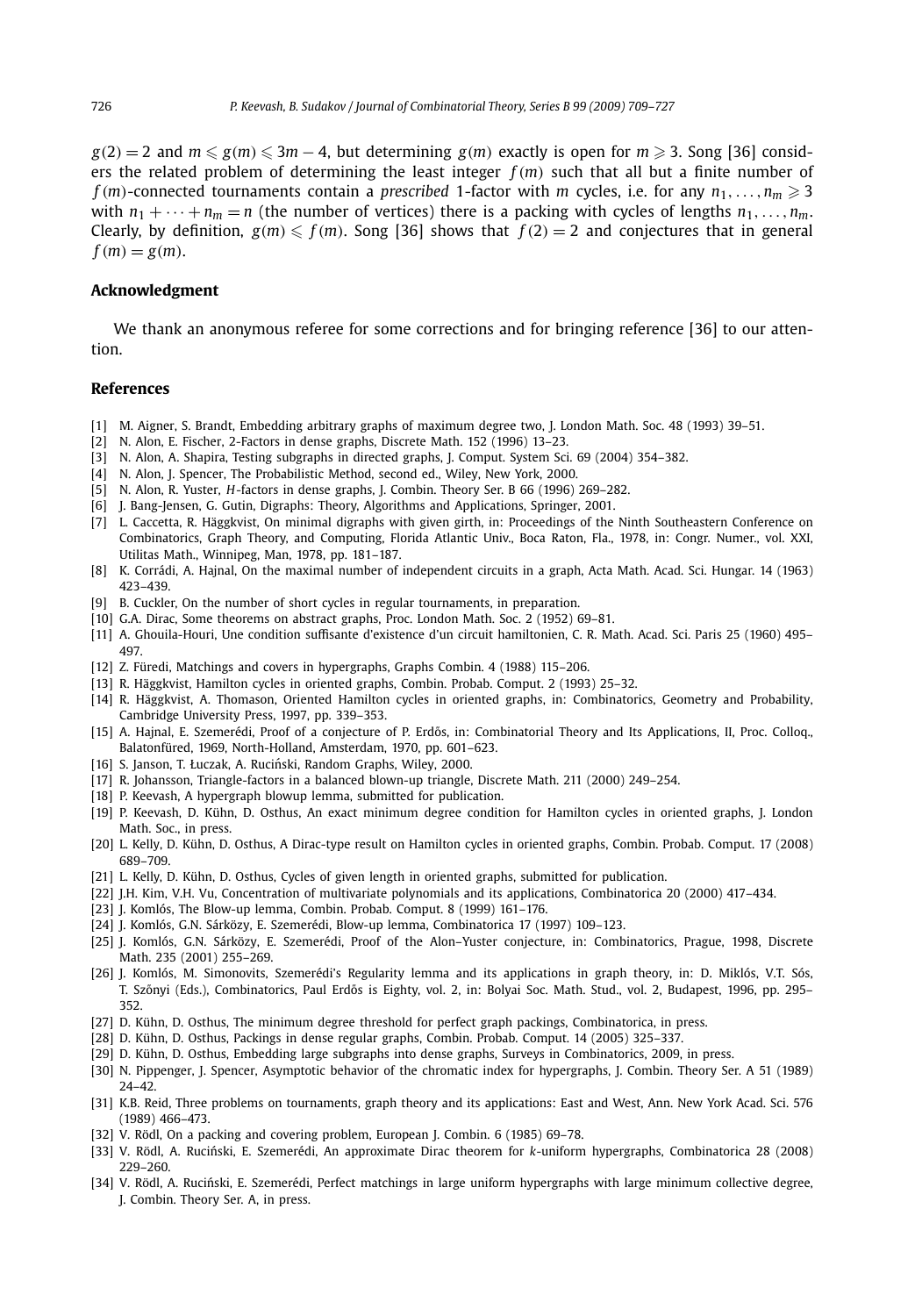*g*(2) = 2 and *m* ≤ *g*(*m*) ≤ 3*m* − 4, but determining *g*(*m*) exactly is open for *m* ≥ 3. Song [36] considers the related problem of determining the least integer *f (m)* such that all but a finite number of  $f(m)$ -connected tournaments contain a *prescribed* 1-factor with *m* cycles, i.e. for any  $n_1, \ldots, n_m \geqslant 3$ with  $n_1 + \cdots + n_m = n$  (the number of vertices) there is a packing with cycles of lengths  $n_1, \ldots, n_m$ . Clearly, by definition,  $g(m) \leq f(m)$ . Song [36] shows that  $f(2) = 2$  and conjectures that in general  $f(m) = g(m)$ .

#### **Acknowledgment**

We thank an anonymous referee for some corrections and for bringing reference [36] to our attention.

#### **References**

- [1] M. Aigner, S. Brandt, Embedding arbitrary graphs of maximum degree two, J. London Math. Soc. 48 (1993) 39–51.
- [2] N. Alon, E. Fischer, 2-Factors in dense graphs, Discrete Math. 152 (1996) 13–23.
- [3] N. Alon, A. Shapira, Testing subgraphs in directed graphs, J. Comput. System Sci. 69 (2004) 354–382.
- [4] N. Alon, J. Spencer, The Probabilistic Method, second ed., Wiley, New York, 2000.
- [5] N. Alon, R. Yuster, *H*-factors in dense graphs, J. Combin. Theory Ser. B 66 (1996) 269–282.
- [6] J. Bang-Jensen, G. Gutin, Digraphs: Theory, Algorithms and Applications, Springer, 2001.
- [7] L. Caccetta, R. Häggkvist, On minimal digraphs with given girth, in: Proceedings of the Ninth Southeastern Conference on Combinatorics, Graph Theory, and Computing, Florida Atlantic Univ., Boca Raton, Fla., 1978, in: Congr. Numer., vol. XXI, Utilitas Math., Winnipeg, Man, 1978, pp. 181–187.
- [8] K. Corrádi, A. Hajnal, On the maximal number of independent circuits in a graph, Acta Math. Acad. Sci. Hungar. 14 (1963) 423–439.
- [9] B. Cuckler, On the number of short cycles in regular tournaments, in preparation.
- [10] G.A. Dirac, Some theorems on abstract graphs, Proc. London Math. Soc. 2 (1952) 69–81.
- [11] A. Ghouila-Houri, Une condition suffisante d'existence d'un circuit hamiltonien, C. R. Math. Acad. Sci. Paris 25 (1960) 495– 497.
- [12] Z. Füredi, Matchings and covers in hypergraphs, Graphs Combin. 4 (1988) 115–206.
- [13] R. Häggkvist, Hamilton cycles in oriented graphs, Combin. Probab. Comput. 2 (1993) 25–32.
- [14] R. Häggkvist, A. Thomason, Oriented Hamilton cycles in oriented graphs, in: Combinatorics, Geometry and Probability, Cambridge University Press, 1997, pp. 339–353.
- [15] A. Hajnal, E. Szemerédi, Proof of a conjecture of P. Erdős, in: Combinatorial Theory and Its Applications, II, Proc. Colloq., Balatonfüred, 1969, North-Holland, Amsterdam, 1970, pp. 601–623.
- [16] S. Janson, T. Łuczak, A. Ruciński, Random Graphs, Wiley, 2000.
- [17] R. Johansson, Triangle-factors in a balanced blown-up triangle, Discrete Math. 211 (2000) 249–254.
- [18] P. Keevash, A hypergraph blowup lemma, submitted for publication.
- [19] P. Keevash, D. Kühn, D. Osthus, An exact minimum degree condition for Hamilton cycles in oriented graphs, J. London Math. Soc., in press.
- [20] L. Kelly, D. Kühn, D. Osthus, A Dirac-type result on Hamilton cycles in oriented graphs, Combin. Probab. Comput. 17 (2008) 689–709.
- [21] L. Kelly, D. Kühn, D. Osthus, Cycles of given length in oriented graphs, submitted for publication.
- [22] J.H. Kim, V.H. Vu, Concentration of multivariate polynomials and its applications, Combinatorica 20 (2000) 417–434.
- [23] J. Komlós, The Blow-up lemma, Combin. Probab. Comput. 8 (1999) 161-176.
- [24] J. Komlós, G.N. Sárközy, E. Szemerédi, Blow-up lemma, Combinatorica 17 (1997) 109–123.
- [25] J. Komlós, G.N. Sárközy, E. Szemerédi, Proof of the Alon–Yuster conjecture, in: Combinatorics, Prague, 1998, Discrete Math. 235 (2001) 255–269.
- [26] J. Komlós, M. Simonovits, Szemerédi's Regularity lemma and its applications in graph theory, in: D. Miklós, V.T. Sós, T. Szőnyi (Eds.), Combinatorics, Paul Erdős is Eighty, vol. 2, in: Bolyai Soc. Math. Stud., vol. 2, Budapest, 1996, pp. 295– 352.
- [27] D. Kühn, D. Osthus, The minimum degree threshold for perfect graph packings, Combinatorica, in press.
- [28] D. Kühn, D. Osthus, Packings in dense regular graphs, Combin. Probab. Comput. 14 (2005) 325–337.
- [29] D. Kühn, D. Osthus, Embedding large subgraphs into dense graphs, Surveys in Combinatorics, 2009, in press.
- [30] N. Pippenger, J. Spencer, Asymptotic behavior of the chromatic index for hypergraphs, J. Combin. Theory Ser. A 51 (1989) 24–42.
- [31] K.B. Reid, Three problems on tournaments, graph theory and its applications: East and West, Ann. New York Acad. Sci. 576 (1989) 466–473.
- [32] V. Rödl, On a packing and covering problem, European J. Combin. 6 (1985) 69–78.
- [33] V. Rödl, A. Rucinski, E. Szemerédi, An approximate Dirac theorem for ´ *k*-uniform hypergraphs, Combinatorica 28 (2008) 229–260.
- [34] V. Rödl, A. Ruciński, E. Szemerédi, Perfect matchings in large uniform hypergraphs with large minimum collective degree, J. Combin. Theory Ser. A, in press.